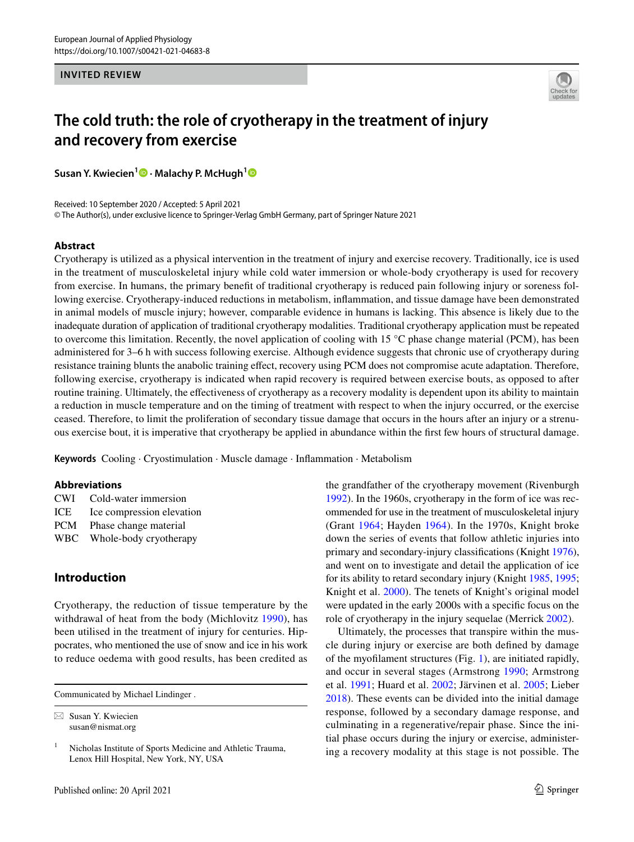#### **INVITED REVIEW**



# **The cold truth: the role of cryotherapy in the treatment of injury and recovery from exercise**

**Susan Y. Kwiecien<sup>1</sup><sup>0</sup> [·](http://orcid.org/0000-0002-6683-8127) Malachy P. McHugh<sup>[1](http://orcid.org/0000-0002-8371-8151)</sup><sup>0</sup>** 

Received: 10 September 2020 / Accepted: 5 April 2021 © The Author(s), under exclusive licence to Springer-Verlag GmbH Germany, part of Springer Nature 2021

#### **Abstract**

Cryotherapy is utilized as a physical intervention in the treatment of injury and exercise recovery. Traditionally, ice is used in the treatment of musculoskeletal injury while cold water immersion or whole-body cryotherapy is used for recovery from exercise. In humans, the primary beneft of traditional cryotherapy is reduced pain following injury or soreness following exercise. Cryotherapy-induced reductions in metabolism, infammation, and tissue damage have been demonstrated in animal models of muscle injury; however, comparable evidence in humans is lacking. This absence is likely due to the inadequate duration of application of traditional cryotherapy modalities. Traditional cryotherapy application must be repeated to overcome this limitation. Recently, the novel application of cooling with 15  $^{\circ}$ C phase change material (PCM), has been administered for 3–6 h with success following exercise. Although evidence suggests that chronic use of cryotherapy during resistance training blunts the anabolic training efect, recovery using PCM does not compromise acute adaptation. Therefore, following exercise, cryotherapy is indicated when rapid recovery is required between exercise bouts, as opposed to after routine training. Ultimately, the efectiveness of cryotherapy as a recovery modality is dependent upon its ability to maintain a reduction in muscle temperature and on the timing of treatment with respect to when the injury occurred, or the exercise ceased. Therefore, to limit the proliferation of secondary tissue damage that occurs in the hours after an injury or a strenuous exercise bout, it is imperative that cryotherapy be applied in abundance within the frst few hours of structural damage.

**Keywords** Cooling · Cryostimulation · Muscle damage · Infammation · Metabolism

#### **Abbreviations**

| <b>CWI</b> | Cold-water immersion      |
|------------|---------------------------|
| ICE        | Ice compression elevation |
| <b>PCM</b> | Phase change material     |
| WBC.       | Whole-body cryotherapy    |

# **Introduction**

Cryotherapy, the reduction of tissue temperature by the withdrawal of heat from the body (Michlovitz [1990](#page-15-0)), has been utilised in the treatment of injury for centuries. Hippocrates, who mentioned the use of snow and ice in his work to reduce oedema with good results, has been credited as

Communicated by Michael Lindinger .

 $\boxtimes$  Susan Y. Kwiecien susan@nismat.org

the grandfather of the cryotherapy movement (Rivenburgh [1992](#page-15-1)). In the 1960s, cryotherapy in the form of ice was recommended for use in the treatment of musculoskeletal injury (Grant [1964;](#page-13-0) Hayden [1964\)](#page-13-1). In the 1970s, Knight broke down the series of events that follow athletic injuries into primary and secondary-injury classifcations (Knight [1976](#page-13-2)), and went on to investigate and detail the application of ice for its ability to retard secondary injury (Knight [1985,](#page-13-3) [1995](#page-14-0); Knight et al. [2000\)](#page-14-1). The tenets of Knight's original model were updated in the early 2000s with a specifc focus on the role of cryotherapy in the injury sequelae (Merrick [2002\)](#page-14-2).

Ultimately, the processes that transpire within the muscle during injury or exercise are both defned by damage of the myoflament structures (Fig. [1\)](#page-1-0), are initiated rapidly, and occur in several stages (Armstrong [1990;](#page-11-0) Armstrong et al. [1991](#page-11-1); Huard et al. [2002](#page-13-4); Järvinen et al. [2005](#page-13-5); Lieber [2018](#page-14-3)). These events can be divided into the initial damage response, followed by a secondary damage response, and culminating in a regenerative/repair phase. Since the initial phase occurs during the injury or exercise, administering a recovery modality at this stage is not possible. The

<sup>&</sup>lt;sup>1</sup> Nicholas Institute of Sports Medicine and Athletic Trauma, Lenox Hill Hospital, New York, NY, USA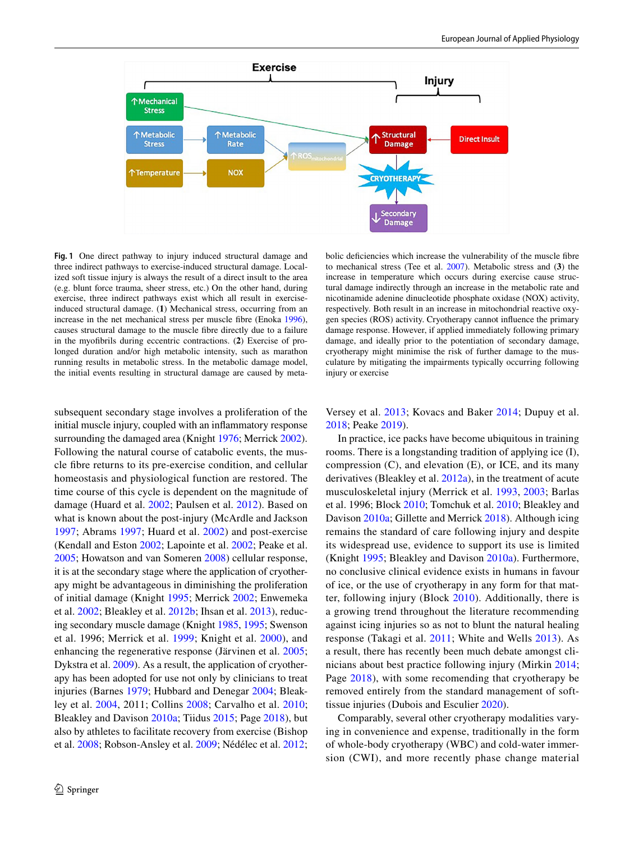

<span id="page-1-0"></span>**Fig. 1** One direct pathway to injury induced structural damage and three indirect pathways to exercise-induced structural damage. Localized soft tissue injury is always the result of a direct insult to the area (e.g. blunt force trauma, sheer stress, etc.) On the other hand, during exercise, three indirect pathways exist which all result in exerciseinduced structural damage. (**1**) Mechanical stress, occurring from an increase in the net mechanical stress per muscle fibre (Enoka [1996](#page-12-5)), causes structural damage to the muscle fbre directly due to a failure in the myofbrils during eccentric contractions. (**2**) Exercise of prolonged duration and/or high metabolic intensity, such as marathon running results in metabolic stress. In the metabolic damage model, the initial events resulting in structural damage are caused by meta-

subsequent secondary stage involves a proliferation of the initial muscle injury, coupled with an infammatory response surrounding the damaged area (Knight [1976](#page-13-2); Merrick [2002](#page-14-2)). Following the natural course of catabolic events, the muscle fbre returns to its pre-exercise condition, and cellular homeostasis and physiological function are restored. The time course of this cycle is dependent on the magnitude of damage (Huard et al. [2002;](#page-13-4) Paulsen et al. [2012\)](#page-15-2). Based on what is known about the post-injury (McArdle and Jackson [1997;](#page-14-4) Abrams [1997](#page-11-2); Huard et al. [2002](#page-13-4)) and post-exercise (Kendall and Eston [2002;](#page-13-6) Lapointe et al. [2002;](#page-14-5) Peake et al. [2005](#page-15-3); Howatson and van Someren [2008](#page-13-7)) cellular response, it is at the secondary stage where the application of cryotherapy might be advantageous in diminishing the proliferation of initial damage (Knight [1995;](#page-14-0) Merrick [2002](#page-14-2); Enwemeka et al. [2002](#page-12-0); Bleakley et al. [2012b;](#page-11-3) Ihsan et al. [2013](#page-13-8)), reducing secondary muscle damage (Knight [1985](#page-13-3), [1995;](#page-14-0) Swenson et al. 1996; Merrick et al. [1999;](#page-14-6) Knight et al. [2000](#page-14-1)), and enhancing the regenerative response (Järvinen et al. [2005](#page-13-5); Dykstra et al. [2009](#page-12-1)). As a result, the application of cryotherapy has been adopted for use not only by clinicians to treat injuries (Barnes [1979](#page-11-4); Hubbard and Denegar [2004](#page-13-9); Bleakley et al. [2004](#page-11-5), 2011; Collins [2008;](#page-12-2) Carvalho et al. [2010](#page-11-6); Bleakley and Davison [2010a;](#page-11-7) Tiidus [2015;](#page-16-0) Page [2018\)](#page-15-4), but also by athletes to facilitate recovery from exercise (Bishop et al. [2008;](#page-11-8) Robson-Ansley et al. [2009](#page-16-1); Nédélec et al. [2012](#page-15-5);

bolic defciencies which increase the vulnerability of the muscle fbre to mechanical stress (Tee et al. [2007\)](#page-16-4). Metabolic stress and (**3**) the increase in temperature which occurs during exercise cause structural damage indirectly through an increase in the metabolic rate and nicotinamide adenine dinucleotide phosphate oxidase (NOX) activity, respectively. Both result in an increase in mitochondrial reactive oxygen species (ROS) activity. Cryotherapy cannot infuence the primary damage response. However, if applied immediately following primary damage, and ideally prior to the potentiation of secondary damage, cryotherapy might minimise the risk of further damage to the musculature by mitigating the impairments typically occurring following injury or exercise

Versey et al. [2013;](#page-17-0) Kovacs and Baker [2014;](#page-14-7) Dupuy et al. [2018](#page-12-3); Peake [2019](#page-15-6)).

In practice, ice packs have become ubiquitous in training rooms. There is a longstanding tradition of applying ice (I), compression  $(C)$ , and elevation  $(E)$ , or ICE, and its many derivatives (Bleakley et al. [2012a](#page-11-9)), in the treatment of acute musculoskeletal injury (Merrick et al. [1993](#page-14-8), [2003](#page-14-9); Barlas et al. 1996; Block [2010](#page-11-10); Tomchuk et al. [2010;](#page-16-2) Bleakley and Davison [2010a](#page-11-7); Gillette and Merrick [2018\)](#page-13-10). Although icing remains the standard of care following injury and despite its widespread use, evidence to support its use is limited (Knight [1995](#page-14-0); Bleakley and Davison [2010a](#page-11-7)). Furthermore, no conclusive clinical evidence exists in humans in favour of ice, or the use of cryotherapy in any form for that matter, following injury (Block [2010](#page-11-10)). Additionally, there is a growing trend throughout the literature recommending against icing injuries so as not to blunt the natural healing response (Takagi et al. [2011;](#page-16-3) White and Wells [2013\)](#page-17-1). As a result, there has recently been much debate amongst clinicians about best practice following injury (Mirkin [2014](#page-15-7); Page [2018\)](#page-15-4), with some recomending that cryotherapy be removed entirely from the standard management of softtissue injuries (Dubois and Esculier [2020](#page-12-4)).

Comparably, several other cryotherapy modalities varying in convenience and expense, traditionally in the form of whole-body cryotherapy (WBC) and cold-water immersion (CWI), and more recently phase change material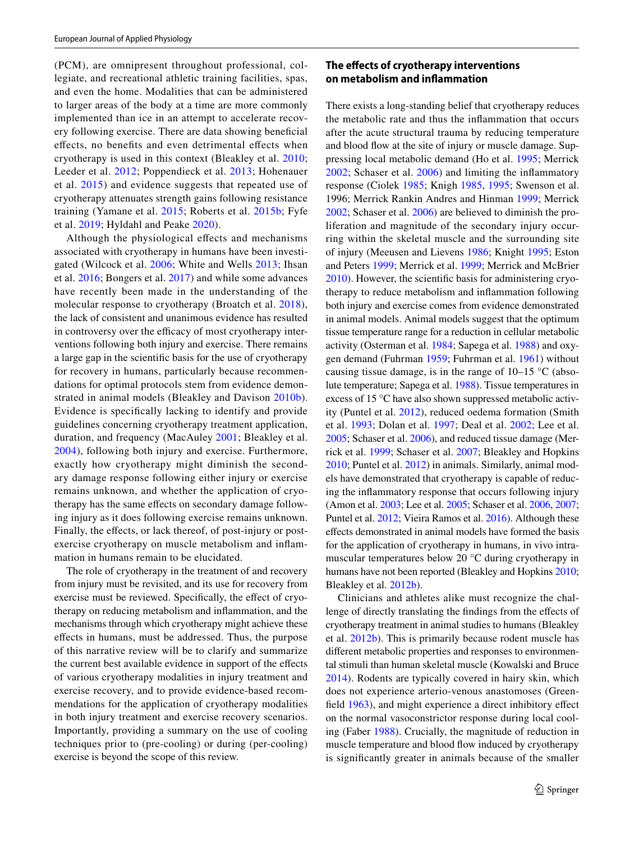(PCM), are omnipresent throughout professional, collegiate, and recreational athletic training facilities, spas, and even the home. Modalities that can be administered to larger areas of the body at a time are more commonly implemented than ice in an attempt to accelerate recovery following exercise. There are data showing benefcial efects, no benefts and even detrimental efects when cryotherapy is used in this context (Bleakley et al. [2010](#page-11-11); Leeder et al. [2012;](#page-14-10) Poppendieck et al. [2013](#page-15-8); Hohenauer et al. [2015](#page-13-11)) and evidence suggests that repeated use of cryotherapy attenuates strength gains following resistance training (Yamane et al. [2015](#page-17-2); Roberts et al. [2015b](#page-16-5); Fyfe et al. [2019;](#page-12-6) Hyldahl and Peake [2020\)](#page-13-12).

Although the physiological efects and mechanisms associated with cryotherapy in humans have been investigated (Wilcock et al. [2006;](#page-17-3) White and Wells [2013;](#page-17-1) Ihsan et al. [2016](#page-13-13); Bongers et al. [2017\)](#page-11-12) and while some advances have recently been made in the understanding of the molecular response to cryotherapy (Broatch et al. [2018](#page-11-13)), the lack of consistent and unanimous evidence has resulted in controversy over the efficacy of most cryotherapy interventions following both injury and exercise. There remains a large gap in the scientifc basis for the use of cryotherapy for recovery in humans, particularly because recommendations for optimal protocols stem from evidence demonstrated in animal models (Bleakley and Davison [2010b](#page-11-14)). Evidence is specifcally lacking to identify and provide guidelines concerning cryotherapy treatment application, duration, and frequency (MacAuley [2001;](#page-14-11) Bleakley et al. [2004](#page-11-5)), following both injury and exercise. Furthermore, exactly how cryotherapy might diminish the secondary damage response following either injury or exercise remains unknown, and whether the application of cryotherapy has the same efects on secondary damage following injury as it does following exercise remains unknown. Finally, the effects, or lack thereof, of post-injury or postexercise cryotherapy on muscle metabolism and infammation in humans remain to be elucidated.

The role of cryotherapy in the treatment of and recovery from injury must be revisited, and its use for recovery from exercise must be reviewed. Specifically, the effect of cryotherapy on reducing metabolism and infammation, and the mechanisms through which cryotherapy might achieve these efects in humans, must be addressed. Thus, the purpose of this narrative review will be to clarify and summarize the current best available evidence in support of the efects of various cryotherapy modalities in injury treatment and exercise recovery, and to provide evidence-based recommendations for the application of cryotherapy modalities in both injury treatment and exercise recovery scenarios. Importantly, providing a summary on the use of cooling techniques prior to (pre-cooling) or during (per-cooling) exercise is beyond the scope of this review.

## **The efects of cryotherapy interventions on metabolism and infammation**

There exists a long-standing belief that cryotherapy reduces the metabolic rate and thus the infammation that occurs after the acute structural trauma by reducing temperature and blood flow at the site of injury or muscle damage. Suppressing local metabolic demand (Ho et al. [1995;](#page-13-14) Merrick [2002;](#page-14-2) Schaser et al. [2006](#page-16-6)) and limiting the infammatory response (Ciolek [1985;](#page-12-7) Knigh [1985](#page-13-3), [1995;](#page-14-0) Swenson et al. 1996; Merrick Rankin Andres and Hinman [1999;](#page-14-6) Merrick [2002](#page-14-2); Schaser et al. [2006\)](#page-16-6) are believed to diminish the proliferation and magnitude of the secondary injury occurring within the skeletal muscle and the surrounding site of injury (Meeusen and Lievens [1986](#page-14-12); Knight [1995;](#page-14-0) Eston and Peters [1999](#page-12-8); Merrick et al. [1999;](#page-14-6) Merrick and McBrier [2010](#page-14-13)). However, the scientifc basis for administering cryotherapy to reduce metabolism and infammation following both injury and exercise comes from evidence demonstrated in animal models. Animal models suggest that the optimum tissue temperature range for a reduction in cellular metabolic activity (Osterman et al. [1984;](#page-15-9) Sapega et al. [1988\)](#page-16-7) and oxygen demand (Fuhrman [1959](#page-12-9); Fuhrman et al. [1961](#page-12-10)) without causing tissue damage, is in the range of  $10-15$  °C (absolute temperature; Sapega et al. [1988](#page-16-7)). Tissue temperatures in excess of 15 °C have also shown suppressed metabolic activity (Puntel et al. [2012](#page-15-10)), reduced oedema formation (Smith et al. [1993](#page-16-8); Dolan et al. [1997;](#page-12-11) Deal et al. [2002;](#page-12-12) Lee et al. [2005](#page-14-14); Schaser et al. [2006](#page-16-6)), and reduced tissue damage (Merrick et al. [1999](#page-14-6); Schaser et al. [2007;](#page-16-9) Bleakley and Hopkins [2010](#page-11-15); Puntel et al. [2012\)](#page-15-10) in animals. Similarly, animal models have demonstrated that cryotherapy is capable of reducing the infammatory response that occurs following injury (Amon et al. [2003;](#page-11-16) Lee et al. [2005](#page-14-14); Schaser et al. [2006](#page-16-6), [2007](#page-16-9); Puntel et al. [2012](#page-15-10); Vieira Ramos et al. [2016](#page-17-4)). Although these efects demonstrated in animal models have formed the basis for the application of cryotherapy in humans, in vivo intramuscular temperatures below 20 °C during cryotherapy in humans have not been reported (Bleakley and Hopkins [2010](#page-11-15); Bleakley et al. [2012b\)](#page-11-3).

Clinicians and athletes alike must recognize the challenge of directly translating the fndings from the efects of cryotherapy treatment in animal studies to humans (Bleakley et al. [2012b\)](#page-11-3). This is primarily because rodent muscle has diferent metabolic properties and responses to environmental stimuli than human skeletal muscle (Kowalski and Bruce [2014\)](#page-14-15). Rodents are typically covered in hairy skin, which does not experience arterio-venous anastomoses (Greenfeld [1963](#page-13-15)), and might experience a direct inhibitory efect on the normal vasoconstrictor response during local cooling (Faber [1988](#page-12-13)). Crucially, the magnitude of reduction in muscle temperature and blood flow induced by cryotherapy is signifcantly greater in animals because of the smaller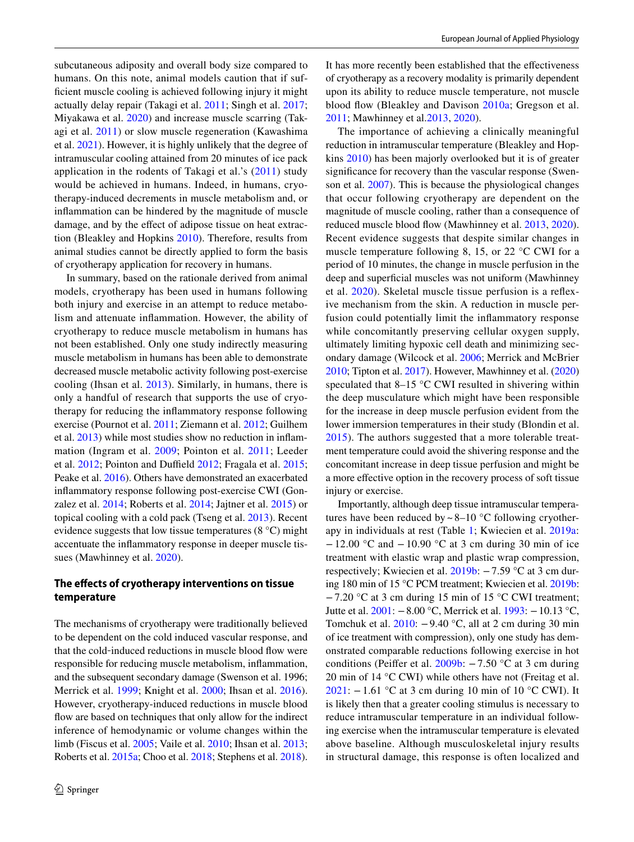subcutaneous adiposity and overall body size compared to humans. On this note, animal models caution that if suffcient muscle cooling is achieved following injury it might actually delay repair (Takagi et al. [2011](#page-16-3); Singh et al. [2017](#page-16-10); Miyakawa et al. [2020](#page-15-11)) and increase muscle scarring (Takagi et al. [2011\)](#page-16-3) or slow muscle regeneration (Kawashima et al. [2021](#page-13-16)). However, it is highly unlikely that the degree of intramuscular cooling attained from 20 minutes of ice pack application in the rodents of Takagi et al.'s [\(2011](#page-16-3)) study would be achieved in humans. Indeed, in humans, cryotherapy-induced decrements in muscle metabolism and, or infammation can be hindered by the magnitude of muscle damage, and by the effect of adipose tissue on heat extraction (Bleakley and Hopkins [2010](#page-11-15)). Therefore, results from animal studies cannot be directly applied to form the basis of cryotherapy application for recovery in humans.

In summary, based on the rationale derived from animal models, cryotherapy has been used in humans following both injury and exercise in an attempt to reduce metabolism and attenuate infammation. However, the ability of cryotherapy to reduce muscle metabolism in humans has not been established. Only one study indirectly measuring muscle metabolism in humans has been able to demonstrate decreased muscle metabolic activity following post-exercise cooling (Ihsan et al. [2013\)](#page-13-8). Similarly, in humans, there is only a handful of research that supports the use of cryotherapy for reducing the infammatory response following exercise (Pournot et al. [2011;](#page-15-12) Ziemann et al. [2012;](#page-17-5) Guilhem et al. [2013\)](#page-13-17) while most studies show no reduction in infammation (Ingram et al. [2009](#page-13-18); Pointon et al. [2011;](#page-15-13) Leeder et al.  $2012$ ; Pointon and Duffield  $2012$ ; Fragala et al.  $2015$ ; Peake et al. [2016\)](#page-15-15). Others have demonstrated an exacerbated infammatory response following post-exercise CWI (Gonzalez et al. [2014;](#page-13-19) Roberts et al. [2014](#page-15-16); Jajtner et al. [2015\)](#page-13-20) or topical cooling with a cold pack (Tseng et al. [2013\)](#page-16-11). Recent evidence suggests that low tissue temperatures (8 °C) might accentuate the infammatory response in deeper muscle tissues (Mawhinney et al. [2020\)](#page-14-16).

## **The efects of cryotherapy interventions on tissue temperature**

The mechanisms of cryotherapy were traditionally believed to be dependent on the cold induced vascular response, and that the cold‐induced reductions in muscle blood fow were responsible for reducing muscle metabolism, infammation, and the subsequent secondary damage (Swenson et al. 1996; Merrick et al. [1999;](#page-14-6) Knight et al. [2000;](#page-14-1) Ihsan et al. [2016](#page-13-13)). However, cryotherapy-induced reductions in muscle blood fow are based on techniques that only allow for the indirect inference of hemodynamic or volume changes within the limb (Fiscus et al. [2005](#page-12-15); Vaile et al. [2010](#page-16-12); Ihsan et al. [2013](#page-13-8); Roberts et al. [2015a;](#page-15-17) Choo et al. [2018](#page-12-16); Stephens et al. [2018](#page-16-13)).

It has more recently been established that the efectiveness of cryotherapy as a recovery modality is primarily dependent upon its ability to reduce muscle temperature, not muscle blood fow (Bleakley and Davison [2010a;](#page-11-7) Gregson et al. [2011](#page-13-21); Mawhinney et al[.2013](#page-14-16), [2020\)](#page-14-17).

The importance of achieving a clinically meaningful reduction in intramuscular temperature (Bleakley and Hopkins [2010\)](#page-11-15) has been majorly overlooked but it is of greater signifcance for recovery than the vascular response (Swenson et al. [2007\)](#page-16-14). This is because the physiological changes that occur following cryotherapy are dependent on the magnitude of muscle cooling, rather than a consequence of reduced muscle blood fow (Mawhinney et al. [2013](#page-14-17), [2020](#page-14-16)). Recent evidence suggests that despite similar changes in muscle temperature following 8, 15, or 22 °C CWI for a period of 10 minutes, the change in muscle perfusion in the deep and superficial muscles was not uniform (Mawhinney et al. [2020\)](#page-14-16). Skeletal muscle tissue perfusion is a refexive mechanism from the skin. A reduction in muscle perfusion could potentially limit the infammatory response while concomitantly preserving cellular oxygen supply, ultimately limiting hypoxic cell death and minimizing secondary damage (Wilcock et al. [2006](#page-17-3); Merrick and McBrier [2010;](#page-14-13) Tipton et al. [2017](#page-16-15)). However, Mawhinney et al. [\(2020\)](#page-14-16) speculated that 8–15 °C CWI resulted in shivering within the deep musculature which might have been responsible for the increase in deep muscle perfusion evident from the lower immersion temperatures in their study (Blondin et al. [2015\)](#page-11-17). The authors suggested that a more tolerable treatment temperature could avoid the shivering response and the concomitant increase in deep tissue perfusion and might be a more efective option in the recovery process of soft tissue injury or exercise.

Importantly, although deep tissue intramuscular temperatures have been reduced by  $\sim$  8–10 °C following cryotherapy in individuals at rest (Table [1](#page-4-0); Kwiecien et al. [2019a](#page-14-18): −12.00 °C and −10.90 °C at 3 cm during 30 min of ice treatment with elastic wrap and plastic wrap compression, respectively; Kwiecien et al. [2019b](#page-14-19): −7.59 °C at 3 cm during 180 min of 15 °C PCM treatment; Kwiecien et al. [2019b](#page-14-19): −7.20 °C at 3 cm during 15 min of 15 °C CWI treatment; Jutte et al. [2001:](#page-13-22) −8.00 °C, Merrick et al. [1993](#page-14-8): −10.13 °C, Tomchuk et al. [2010:](#page-16-2) −9.40 °C, all at 2 cm during 30 min of ice treatment with compression), only one study has demonstrated comparable reductions following exercise in hot conditions (Peifer et al. [2009b:](#page-15-18) −7.50 °C at 3 cm during 20 min of 14 °C CWI) while others have not (Freitag et al. [2021:](#page-12-17) −1.61 °C at 3 cm during 10 min of 10 °C CWI). It is likely then that a greater cooling stimulus is necessary to reduce intramuscular temperature in an individual following exercise when the intramuscular temperature is elevated above baseline. Although musculoskeletal injury results in structural damage, this response is often localized and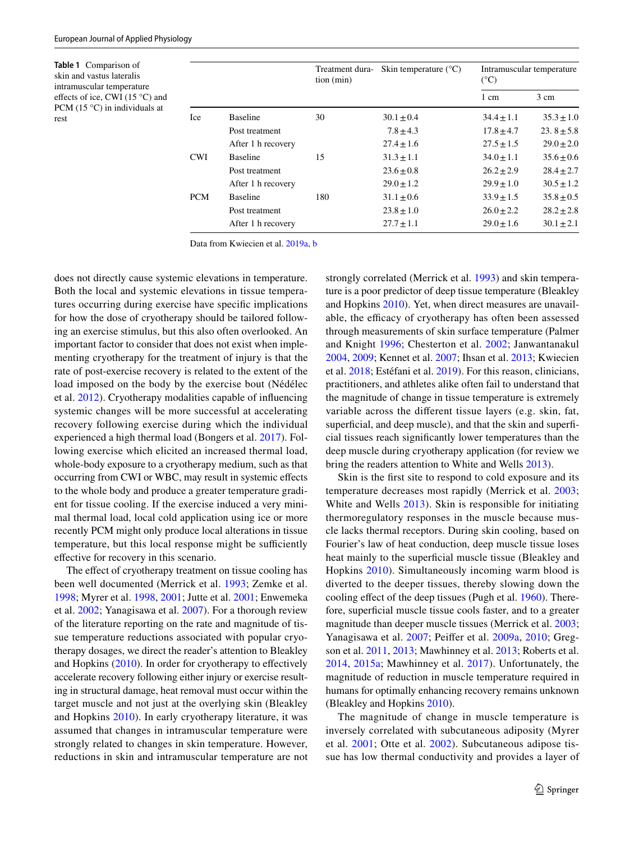<span id="page-4-0"></span>**Table 1** Comparison of skin and vastus lateralis intramuscular temperature effects of ice, CWI (15 °C) and PCM (15 °C) in individuals at rest

|            |                    | Treatment dura-<br>tion (min) | Skin temperature $(^{\circ}C)$ | Intramuscular temperature<br>$(^{\circ}C)$ |                |
|------------|--------------------|-------------------------------|--------------------------------|--------------------------------------------|----------------|
|            |                    |                               |                                | 1 cm                                       | 3 cm           |
| <b>Ice</b> | <b>Baseline</b>    | 30                            | $30.1 \pm 0.4$                 | $34.4 + 1.1$                               | $35.3 \pm 1.0$ |
|            | Post treatment     |                               | $7.8 \pm 4.3$                  | $17.8 \pm 4.7$                             | 23.8 $\pm$ 5.8 |
|            | After 1 h recovery |                               | $27.4 \pm 1.6$                 | $27.5 \pm 1.5$                             | $29.0 \pm 2.0$ |
| <b>CWI</b> | <b>Baseline</b>    | 15                            | $31.3 \pm 1.1$                 | $34.0 + 1.1$                               | $35.6 \pm 0.6$ |
|            | Post treatment     |                               | $23.6 + 0.8$                   | $26.2 + 2.9$                               | $28.4 \pm 2.7$ |
|            | After 1 h recovery |                               | $29.0 + 1.2$                   | $29.9 + 1.0$                               | $30.5 + 1.2$   |
| <b>PCM</b> | <b>Baseline</b>    | 180                           | $31.1 \pm 0.6$                 | $33.9 \pm 1.5$                             | $35.8 \pm 0.5$ |
|            | Post treatment     |                               | $23.8 \pm 1.0$                 | $26.0 + 2.2$                               | $28.2 \pm 2.8$ |
|            | After 1 h recovery |                               | $27.7 \pm 1.1$                 | $29.0 \pm 1.6$                             | $30.1 \pm 2.1$ |

Data from Kwiecien et al. [2019a](#page-14-18), [b](#page-14-19)

does not directly cause systemic elevations in temperature. Both the local and systemic elevations in tissue temperatures occurring during exercise have specifc implications for how the dose of cryotherapy should be tailored following an exercise stimulus, but this also often overlooked. An important factor to consider that does not exist when implementing cryotherapy for the treatment of injury is that the rate of post-exercise recovery is related to the extent of the load imposed on the body by the exercise bout (Nédélec et al. [2012](#page-15-5)). Cryotherapy modalities capable of infuencing systemic changes will be more successful at accelerating recovery following exercise during which the individual experienced a high thermal load (Bongers et al. [2017](#page-11-12)). Following exercise which elicited an increased thermal load, whole-body exposure to a cryotherapy medium, such as that occurring from CWI or WBC, may result in systemic efects to the whole body and produce a greater temperature gradient for tissue cooling. If the exercise induced a very minimal thermal load, local cold application using ice or more recently PCM might only produce local alterations in tissue temperature, but this local response might be sufficiently efective for recovery in this scenario.

The effect of cryotherapy treatment on tissue cooling has been well documented (Merrick et al. [1993](#page-14-8); Zemke et al. [1998](#page-17-6); Myrer et al. [1998](#page-15-19), [2001](#page-15-20); Jutte et al. [2001;](#page-13-22) Enwemeka et al. [2002](#page-12-0); Yanagisawa et al. [2007](#page-17-7)). For a thorough review of the literature reporting on the rate and magnitude of tissue temperature reductions associated with popular cryotherapy dosages, we direct the reader's attention to Bleakley and Hopkins [\(2010](#page-11-15)). In order for cryotherapy to efectively accelerate recovery following either injury or exercise resulting in structural damage, heat removal must occur within the target muscle and not just at the overlying skin (Bleakley and Hopkins [2010\)](#page-11-15). In early cryotherapy literature, it was assumed that changes in intramuscular temperature were strongly related to changes in skin temperature. However, reductions in skin and intramuscular temperature are not strongly correlated (Merrick et al. [1993\)](#page-14-8) and skin temperature is a poor predictor of deep tissue temperature (Bleakley and Hopkins [2010](#page-11-15)). Yet, when direct measures are unavailable, the efficacy of cryotherapy has often been assessed through measurements of skin surface temperature (Palmer and Knight [1996](#page-15-21); Chesterton et al. [2002;](#page-11-18) Janwantanakul [2004](#page-13-23), [2009](#page-13-24); Kennet et al. [2007](#page-13-25); Ihsan et al. [2013;](#page-13-8) Kwiecien et al. [2018](#page-14-20); Estéfani et al. [2019](#page-12-18)). For this reason, clinicians, practitioners, and athletes alike often fail to understand that the magnitude of change in tissue temperature is extremely variable across the diferent tissue layers (e.g. skin, fat, superficial, and deep muscle), and that the skin and superficial tissues reach signifcantly lower temperatures than the deep muscle during cryotherapy application (for review we bring the readers attention to White and Wells [2013\)](#page-17-1).

Skin is the frst site to respond to cold exposure and its temperature decreases most rapidly (Merrick et al. [2003](#page-14-9); White and Wells [2013\)](#page-17-1). Skin is responsible for initiating thermoregulatory responses in the muscle because muscle lacks thermal receptors. During skin cooling, based on Fourier's law of heat conduction, deep muscle tissue loses heat mainly to the superficial muscle tissue (Bleakley and Hopkins [2010](#page-11-15)). Simultaneously incoming warm blood is diverted to the deeper tissues, thereby slowing down the cooling effect of the deep tissues (Pugh et al. [1960](#page-15-22)). Therefore, superfcial muscle tissue cools faster, and to a greater magnitude than deeper muscle tissues (Merrick et al. [2003](#page-14-9); Yanagisawa et al. [2007;](#page-17-7) Peifer et al. [2009a](#page-15-23), [2010](#page-15-24); Gregson et al. [2011](#page-13-26), [2013](#page-13-21); Mawhinney et al. [2013](#page-14-17); Roberts et al. [2014,](#page-15-16) [2015a;](#page-15-17) Mawhinney et al. [2017\)](#page-14-21). Unfortunately, the magnitude of reduction in muscle temperature required in humans for optimally enhancing recovery remains unknown (Bleakley and Hopkins [2010\)](#page-11-15).

The magnitude of change in muscle temperature is inversely correlated with subcutaneous adiposity (Myrer et al. [2001](#page-15-20); Otte et al. [2002\)](#page-15-25). Subcutaneous adipose tissue has low thermal conductivity and provides a layer of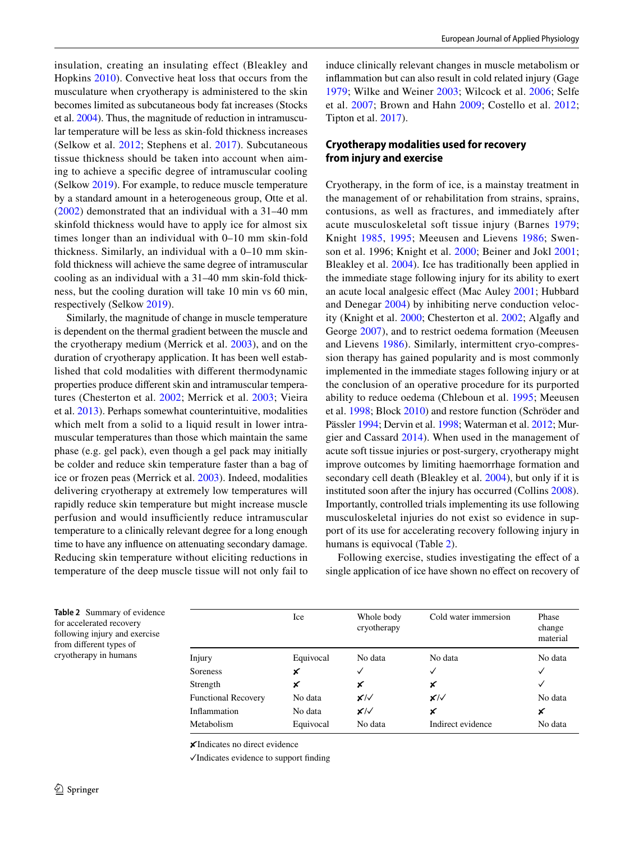insulation, creating an insulating effect (Bleakley and Hopkins [2010](#page-11-15)). Convective heat loss that occurs from the musculature when cryotherapy is administered to the skin becomes limited as subcutaneous body fat increases (Stocks et al. [2004\)](#page-16-16). Thus, the magnitude of reduction in intramuscular temperature will be less as skin-fold thickness increases (Selkow et al. [2012](#page-16-17); Stephens et al. [2017\)](#page-16-18). Subcutaneous tissue thickness should be taken into account when aiming to achieve a specifc degree of intramuscular cooling (Selkow [2019\)](#page-16-19). For example, to reduce muscle temperature by a standard amount in a heterogeneous group, Otte et al. [\(2002](#page-15-25)) demonstrated that an individual with a 31–40 mm skinfold thickness would have to apply ice for almost six times longer than an individual with 0–10 mm skin-fold thickness. Similarly, an individual with a 0–10 mm skinfold thickness will achieve the same degree of intramuscular cooling as an individual with a 31–40 mm skin-fold thickness, but the cooling duration will take 10 min vs 60 min, respectively (Selkow [2019\)](#page-16-19).

Similarly, the magnitude of change in muscle temperature is dependent on the thermal gradient between the muscle and the cryotherapy medium (Merrick et al. [2003](#page-14-9)), and on the duration of cryotherapy application. It has been well established that cold modalities with diferent thermodynamic properties produce diferent skin and intramuscular temperatures (Chesterton et al. [2002](#page-11-18); Merrick et al. [2003;](#page-14-9) Vieira et al. [2013\)](#page-17-8). Perhaps somewhat counterintuitive, modalities which melt from a solid to a liquid result in lower intramuscular temperatures than those which maintain the same phase (e.g. gel pack), even though a gel pack may initially be colder and reduce skin temperature faster than a bag of ice or frozen peas (Merrick et al. [2003](#page-14-9)). Indeed, modalities delivering cryotherapy at extremely low temperatures will rapidly reduce skin temperature but might increase muscle perfusion and would insufficiently reduce intramuscular temperature to a clinically relevant degree for a long enough time to have any infuence on attenuating secondary damage. Reducing skin temperature without eliciting reductions in temperature of the deep muscle tissue will not only fail to

induce clinically relevant changes in muscle metabolism or infammation but can also result in cold related injury (Gage [1979;](#page-13-27) Wilke and Weiner [2003;](#page-17-9) Wilcock et al. [2006;](#page-17-3) Selfe et al. [2007;](#page-16-20) Brown and Hahn [2009;](#page-11-19) Costello et al. [2012](#page-12-19); Tipton et al. [2017\)](#page-16-15).

## **Cryotherapy modalities used for recovery from injury and exercise**

Cryotherapy, in the form of ice, is a mainstay treatment in the management of or rehabilitation from strains, sprains, contusions, as well as fractures, and immediately after acute musculoskeletal soft tissue injury (Barnes [1979](#page-11-4); Knight [1985,](#page-13-3) [1995](#page-14-0); Meeusen and Lievens [1986](#page-14-12); Swenson et al. 1996; Knight et al. [2000;](#page-14-1) Beiner and Jokl [2001](#page-11-20); Bleakley et al. [2004](#page-11-5)). Ice has traditionally been applied in the immediate stage following injury for its ability to exert an acute local analgesic efect (Mac Auley [2001](#page-14-11); Hubbard and Denegar [2004\)](#page-13-9) by inhibiting nerve conduction velocity (Knight et al. [2000](#page-14-1); Chesterton et al. [2002](#page-11-18); Algafy and George [2007\)](#page-11-21), and to restrict oedema formation (Meeusen and Lievens [1986\)](#page-14-12). Similarly, intermittent cryo-compression therapy has gained popularity and is most commonly implemented in the immediate stages following injury or at the conclusion of an operative procedure for its purported ability to reduce oedema (Chleboun et al. [1995;](#page-12-20) Meeusen et al. [1998](#page-14-22); Block [2010\)](#page-11-10) and restore function (Schröder and Pässler [1994;](#page-16-21) Dervin et al. [1998](#page-12-21); Waterman et al. [2012](#page-17-10); Murgier and Cassard [2014\)](#page-15-26). When used in the management of acute soft tissue injuries or post-surgery, cryotherapy might improve outcomes by limiting haemorrhage formation and secondary cell death (Bleakley et al. [2004](#page-11-5)), but only if it is instituted soon after the injury has occurred (Collins [2008](#page-12-2)). Importantly, controlled trials implementing its use following musculoskeletal injuries do not exist so evidence in support of its use for accelerating recovery following injury in humans is equivocal (Table [2](#page-5-0)).

Following exercise, studies investigating the efect of a single application of ice have shown no effect on recovery of

<span id="page-5-0"></span>

|                         | <b>Table 2</b> Summary of evidence |  |  |  |
|-------------------------|------------------------------------|--|--|--|
|                         | for accelerated recovery           |  |  |  |
|                         | following injury and exercise      |  |  |  |
| from different types of |                                    |  |  |  |
|                         | cryotherapy in humans              |  |  |  |

Ice Whole body cryotherapy Cold water immersion Phase change material Injury Equivocal No data No data No data Soreness  $\mathsf{x}$   $\checkmark$   $\checkmark$ Strength  $\times$   $\times$   $\times$ Functional Recovery No data  $\mathbf{x}/\mathbf{x}$   $\mathbf{x}/\mathbf{x}$  No data Inflammation No data  $\mathsf{x}/\mathsf{x}$   $\mathsf{x}$   $\mathsf{x}$ Metabolism Equivocal No data Indirect evidence No data

✘Indicates no direct evidence

✓Indicates evidence to support fnding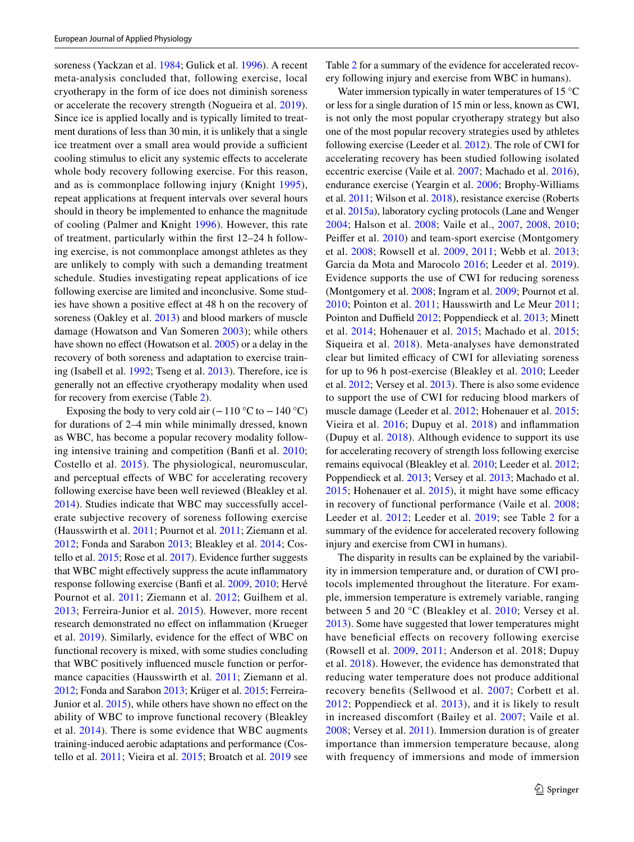soreness (Yackzan et al. [1984;](#page-17-11) Gulick et al. [1996\)](#page-13-28). A recent meta-analysis concluded that, following exercise, local cryotherapy in the form of ice does not diminish soreness or accelerate the recovery strength (Nogueira et al. [2019](#page-15-27)). Since ice is applied locally and is typically limited to treatment durations of less than 30 min, it is unlikely that a single ice treatment over a small area would provide a sufficient cooling stimulus to elicit any systemic efects to accelerate whole body recovery following exercise. For this reason, and as is commonplace following injury (Knight [1995](#page-14-0)), repeat applications at frequent intervals over several hours should in theory be implemented to enhance the magnitude of cooling (Palmer and Knight [1996\)](#page-15-21). However, this rate of treatment, particularly within the frst 12–24 h following exercise, is not commonplace amongst athletes as they are unlikely to comply with such a demanding treatment schedule. Studies investigating repeat applications of ice following exercise are limited and inconclusive. Some studies have shown a positive efect at 48 h on the recovery of soreness (Oakley et al. [2013\)](#page-15-28) and blood markers of muscle damage (Howatson and Van Someren [2003](#page-13-29)); while others have shown no effect (Howatson et al. [2005](#page-13-30)) or a delay in the recovery of both soreness and adaptation to exercise training (Isabell et al. [1992](#page-13-31); Tseng et al. [2013](#page-16-11)). Therefore, ice is generally not an efective cryotherapy modality when used for recovery from exercise (Table [2](#page-5-0)).

Exposing the body to very cold air  $(-110 \degree C$  to  $-140 \degree C)$ for durations of 2–4 min while minimally dressed, known as WBC, has become a popular recovery modality following intensive training and competition (Banf et al. [2010](#page-11-22); Costello et al. [2015](#page-12-22)). The physiological, neuromuscular, and perceptual effects of WBC for accelerating recovery following exercise have been well reviewed (Bleakley et al. [2014](#page-11-23)). Studies indicate that WBC may successfully accelerate subjective recovery of soreness following exercise (Hausswirth et al. [2011](#page-13-32); Pournot et al. [2011](#page-15-12); Ziemann et al. [2012](#page-17-5); Fonda and Sarabon [2013;](#page-12-23) Bleakley et al. [2014;](#page-11-23) Costello et al. [2015;](#page-12-22) Rose et al. [2017](#page-16-22)). Evidence further suggests that WBC might efectively suppress the acute infammatory response following exercise (Banfi et al. [2009](#page-11-24), [2010](#page-11-22); Hervé Pournot et al. [2011;](#page-15-12) Ziemann et al. [2012;](#page-17-5) Guilhem et al. [2013;](#page-13-17) Ferreira-Junior et al. [2015\)](#page-12-24). However, more recent research demonstrated no efect on infammation (Krueger et al. [2019\)](#page-14-23). Similarly, evidence for the efect of WBC on functional recovery is mixed, with some studies concluding that WBC positively infuenced muscle function or perfor-mance capacities (Hausswirth et al. [2011](#page-13-32); Ziemann et al. [2012;](#page-17-5) Fonda and Sarabon [2013;](#page-12-23) Krüger et al. [2015](#page-14-24); Ferreira-Junior et al. [2015\)](#page-12-24), while others have shown no effect on the ability of WBC to improve functional recovery (Bleakley et al. [2014](#page-11-23)). There is some evidence that WBC augments training-induced aerobic adaptations and performance (Costello et al. [2011;](#page-12-25) Vieira et al. [2015;](#page-17-12) Broatch et al. [2019](#page-11-25) see Table [2](#page-5-0) for a summary of the evidence for accelerated recovery following injury and exercise from WBC in humans).

Water immersion typically in water temperatures of 15 °C or less for a single duration of 15 min or less, known as CWI, is not only the most popular cryotherapy strategy but also one of the most popular recovery strategies used by athletes following exercise (Leeder et al. [2012\)](#page-14-10). The role of CWI for accelerating recovery has been studied following isolated eccentric exercise (Vaile et al. [2007](#page-16-23); Machado et al. [2016](#page-14-25)), endurance exercise (Yeargin et al. [2006](#page-17-13); Brophy-Williams et al. [2011;](#page-11-26) Wilson et al. [2018](#page-17-14)), resistance exercise (Roberts et al. [2015a](#page-15-17)), laboratory cycling protocols (Lane and Wenger [2004;](#page-14-26) Halson et al. [2008](#page-13-33); Vaile et al., [2007](#page-16-23), [2008,](#page-16-24) [2010](#page-16-12); Peifer et al. [2010\)](#page-15-24) and team-sport exercise (Montgomery et al. [2008;](#page-15-29) Rowsell et al. [2009,](#page-16-25) [2011;](#page-16-26) Webb et al. [2013](#page-17-15); Garcia da Mota and Marocolo [2016](#page-13-34); Leeder et al. [2019](#page-14-27)). Evidence supports the use of CWI for reducing soreness (Montgomery et al. [2008;](#page-15-29) Ingram et al. [2009](#page-13-18); Pournot et al. [2010](#page-15-30); Pointon et al. [2011;](#page-15-13) Hausswirth and Le Meur [2011](#page-13-35); Pointon and Duffield [2012;](#page-15-14) Poppendieck et al. [2013](#page-15-8); Minett et al. [2014;](#page-15-31) Hohenauer et al. [2015;](#page-13-11) Machado et al. [2015](#page-14-28); Siqueira et al. [2018\)](#page-16-27). Meta-analyses have demonstrated clear but limited efficacy of CWI for alleviating soreness for up to 96 h post-exercise (Bleakley et al. [2010](#page-11-11); Leeder et al. [2012;](#page-14-10) Versey et al. [2013](#page-17-0)). There is also some evidence to support the use of CWI for reducing blood markers of muscle damage (Leeder et al. [2012](#page-14-10); Hohenauer et al. [2015](#page-13-11); Vieira et al. [2016;](#page-17-16) Dupuy et al. [2018\)](#page-12-3) and infammation (Dupuy et al. [2018\)](#page-12-3). Although evidence to support its use for accelerating recovery of strength loss following exercise remains equivocal (Bleakley et al. [2010](#page-11-11); Leeder et al. [2012](#page-14-10); Poppendieck et al. [2013](#page-15-8); Versey et al. [2013;](#page-17-0) Machado et al.  $2015$ ; Hohenauer et al.  $2015$ ), it might have some efficacy in recovery of functional performance (Vaile et al. [2008](#page-16-24); Leeder et al. [2012](#page-14-10); Leeder et al. [2019;](#page-14-27) see Table [2](#page-5-0) for a summary of the evidence for accelerated recovery following injury and exercise from CWI in humans).

The disparity in results can be explained by the variability in immersion temperature and, or duration of CWI protocols implemented throughout the literature. For example, immersion temperature is extremely variable, ranging between 5 and 20 °C (Bleakley et al. [2010;](#page-11-11) Versey et al. [2013](#page-17-0)). Some have suggested that lower temperatures might have beneficial effects on recovery following exercise (Rowsell et al. [2009](#page-16-25), [2011;](#page-16-26) Anderson et al. 2018; Dupuy et al. [2018](#page-12-3)). However, the evidence has demonstrated that reducing water temperature does not produce additional recovery benefts (Sellwood et al. [2007;](#page-16-20) Corbett et al. [2012](#page-12-26); Poppendieck et al. [2013\)](#page-15-8), and it is likely to result in increased discomfort (Bailey et al. [2007](#page-11-27); Vaile et al. [2008;](#page-16-24) Versey et al. [2011](#page-16-28)). Immersion duration is of greater importance than immersion temperature because, along with frequency of immersions and mode of immersion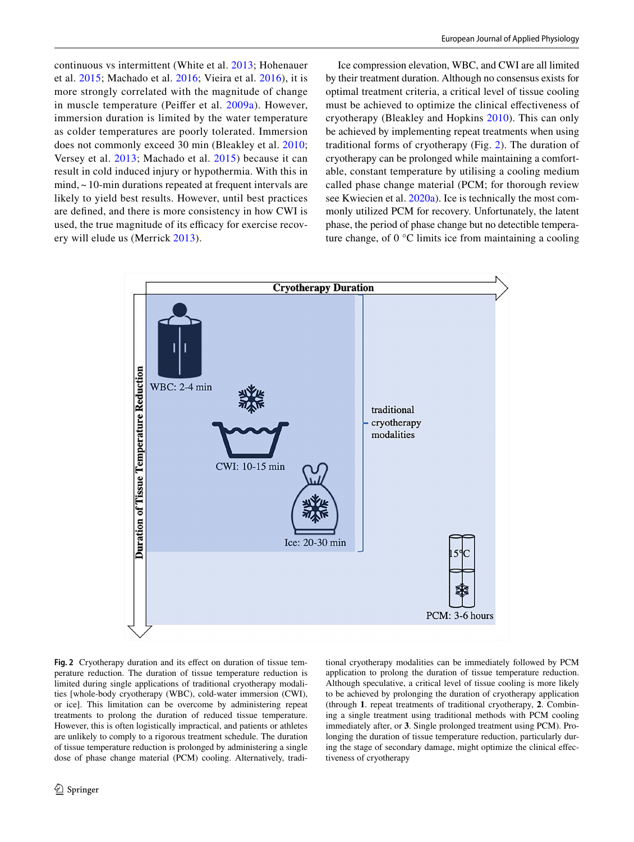continuous vs intermittent (White et al. [2013](#page-17-1); Hohenauer et al. [2015](#page-13-11); Machado et al. [2016](#page-14-25); Vieira et al. [2016\)](#page-17-16), it is more strongly correlated with the magnitude of change in muscle temperature (Peifer et al. [2009a\)](#page-15-23). However, immersion duration is limited by the water temperature as colder temperatures are poorly tolerated. Immersion does not commonly exceed 30 min (Bleakley et al. [2010](#page-11-11); Versey et al. [2013;](#page-17-0) Machado et al. [2015](#page-14-28)) because it can result in cold induced injury or hypothermia. With this in mind, ~ 10-min durations repeated at frequent intervals are likely to yield best results. However, until best practices are defned, and there is more consistency in how CWI is used, the true magnitude of its efficacy for exercise recovery will elude us (Merrick [2013\)](#page-14-29).

Ice compression elevation, WBC, and CWI are all limited by their treatment duration. Although no consensus exists for optimal treatment criteria, a critical level of tissue cooling must be achieved to optimize the clinical efectiveness of cryotherapy (Bleakley and Hopkins [2010](#page-11-15)). This can only be achieved by implementing repeat treatments when using traditional forms of cryotherapy (Fig. [2](#page-7-0)). The duration of cryotherapy can be prolonged while maintaining a comfortable, constant temperature by utilising a cooling medium called phase change material (PCM; for thorough review see Kwiecien et al. [2020a\)](#page-14-30). Ice is technically the most commonly utilized PCM for recovery. Unfortunately, the latent phase, the period of phase change but no detectible temperature change, of 0 °C limits ice from maintaining a cooling



<span id="page-7-0"></span>Fig. 2 Cryotherapy duration and its effect on duration of tissue temperature reduction. The duration of tissue temperature reduction is limited during single applications of traditional cryotherapy modalities [whole-body cryotherapy (WBC), cold-water immersion (CWI), or ice]. This limitation can be overcome by administering repeat treatments to prolong the duration of reduced tissue temperature. However, this is often logistically impractical, and patients or athletes are unlikely to comply to a rigorous treatment schedule. The duration of tissue temperature reduction is prolonged by administering a single dose of phase change material (PCM) cooling. Alternatively, traditional cryotherapy modalities can be immediately followed by PCM application to prolong the duration of tissue temperature reduction. Although speculative, a critical level of tissue cooling is more likely to be achieved by prolonging the duration of cryotherapy application (through **1**. repeat treatments of traditional cryotherapy, **2**. Combining a single treatment using traditional methods with PCM cooling immediately after, or **3**. Single prolonged treatment using PCM). Prolonging the duration of tissue temperature reduction, particularly during the stage of secondary damage, might optimize the clinical efectiveness of cryotherapy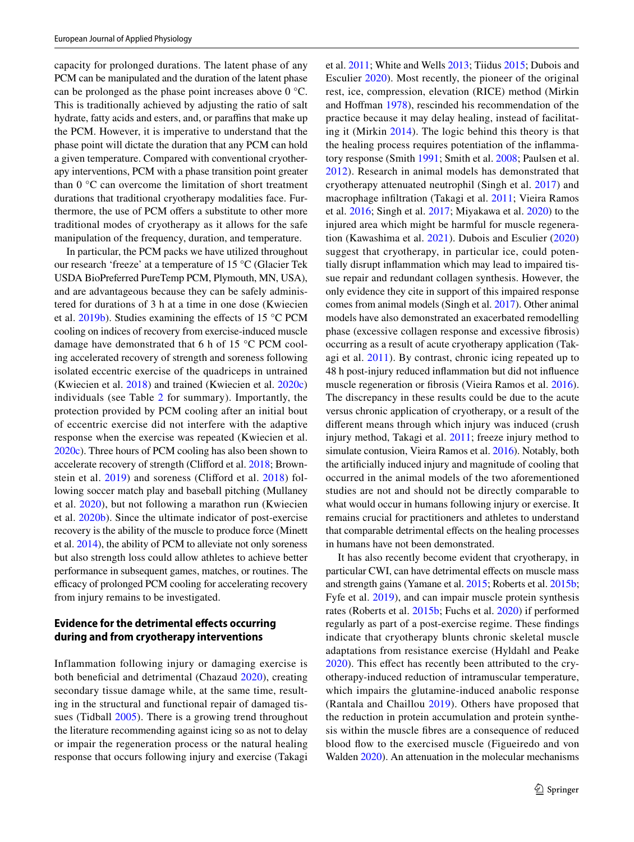capacity for prolonged durations. The latent phase of any PCM can be manipulated and the duration of the latent phase can be prolonged as the phase point increases above 0 °C. This is traditionally achieved by adjusting the ratio of salt hydrate, fatty acids and esters, and, or paraffins that make up the PCM. However, it is imperative to understand that the phase point will dictate the duration that any PCM can hold a given temperature. Compared with conventional cryotherapy interventions, PCM with a phase transition point greater than 0 °C can overcome the limitation of short treatment durations that traditional cryotherapy modalities face. Furthermore, the use of PCM offers a substitute to other more traditional modes of cryotherapy as it allows for the safe manipulation of the frequency, duration, and temperature.

In particular, the PCM packs we have utilized throughout our research 'freeze' at a temperature of 15 °C (Glacier Tek USDA BioPreferred PureTemp PCM, Plymouth, MN, USA), and are advantageous because they can be safely administered for durations of 3 h at a time in one dose (Kwiecien et al. [2019b](#page-14-19)). Studies examining the efects of 15 °C PCM cooling on indices of recovery from exercise-induced muscle damage have demonstrated that 6 h of 15 °C PCM cooling accelerated recovery of strength and soreness following isolated eccentric exercise of the quadriceps in untrained (Kwiecien et al. [2018\)](#page-14-20) and trained (Kwiecien et al. [2020c\)](#page-14-31) individuals (see Table [2](#page-5-0) for summary). Importantly, the protection provided by PCM cooling after an initial bout of eccentric exercise did not interfere with the adaptive response when the exercise was repeated (Kwiecien et al. [2020c](#page-14-31)). Three hours of PCM cooling has also been shown to accelerate recovery of strength (Cliford et al. [2018;](#page-12-27) Brown-stein et al. [2019](#page-11-28)) and soreness (Clifford et al. [2018\)](#page-12-27) following soccer match play and baseball pitching (Mullaney et al. [2020](#page-15-32)), but not following a marathon run (Kwiecien et al. [2020b](#page-14-32)). Since the ultimate indicator of post-exercise recovery is the ability of the muscle to produce force (Minett et al. [2014\)](#page-15-31), the ability of PCM to alleviate not only soreness but also strength loss could allow athletes to achieve better performance in subsequent games, matches, or routines. The efficacy of prolonged PCM cooling for accelerating recovery from injury remains to be investigated.

## **Evidence for the detrimental efects occurring during and from cryotherapy interventions**

Inflammation following injury or damaging exercise is both beneficial and detrimental (Chazaud [2020\)](#page-11-29), creating secondary tissue damage while, at the same time, resulting in the structural and functional repair of damaged tissues (Tidball [2005\)](#page-16-29). There is a growing trend throughout the literature recommending against icing so as not to delay or impair the regeneration process or the natural healing response that occurs following injury and exercise (Takagi

et al. [2011](#page-16-3); White and Wells [2013;](#page-17-1) Tiidus [2015;](#page-16-0) Dubois and Esculier [2020\)](#page-12-4). Most recently, the pioneer of the original rest, ice, compression, elevation (RICE) method (Mirkin and Hofman [1978](#page-15-33)), rescinded his recommendation of the practice because it may delay healing, instead of facilitating it (Mirkin [2014](#page-15-7)). The logic behind this theory is that the healing process requires potentiation of the infammatory response (Smith [1991;](#page-16-30) Smith et al. [2008](#page-16-31); Paulsen et al. [2012\)](#page-15-2). Research in animal models has demonstrated that cryotherapy attenuated neutrophil (Singh et al. [2017](#page-16-10)) and macrophage infltration (Takagi et al. [2011](#page-16-3); Vieira Ramos et al. [2016;](#page-17-4) Singh et al. [2017;](#page-16-10) Miyakawa et al. [2020](#page-15-11)) to the injured area which might be harmful for muscle regeneration (Kawashima et al. [2021\)](#page-13-16). Dubois and Esculier ([2020\)](#page-12-4) suggest that cryotherapy, in particular ice, could potentially disrupt infammation which may lead to impaired tissue repair and redundant collagen synthesis. However, the only evidence they cite in support of this impaired response comes from animal models (Singh et al. [2017](#page-16-10)). Other animal models have also demonstrated an exacerbated remodelling phase (excessive collagen response and excessive fbrosis) occurring as a result of acute cryotherapy application (Takagi et al. [2011\)](#page-16-3). By contrast, chronic icing repeated up to 48 h post-injury reduced infammation but did not infuence muscle regeneration or fbrosis (Vieira Ramos et al. [2016](#page-17-4)). The discrepancy in these results could be due to the acute versus chronic application of cryotherapy, or a result of the diferent means through which injury was induced (crush injury method, Takagi et al. [2011;](#page-16-3) freeze injury method to simulate contusion, Vieira Ramos et al. [2016\)](#page-17-4). Notably, both the artifcially induced injury and magnitude of cooling that occurred in the animal models of the two aforementioned studies are not and should not be directly comparable to what would occur in humans following injury or exercise. It remains crucial for practitioners and athletes to understand that comparable detrimental effects on the healing processes in humans have not been demonstrated.

It has also recently become evident that cryotherapy, in particular CWI, can have detrimental effects on muscle mass and strength gains (Yamane et al. [2015](#page-17-2); Roberts et al. [2015b](#page-16-5); Fyfe et al. [2019\)](#page-12-6), and can impair muscle protein synthesis rates (Roberts et al. [2015b;](#page-16-5) Fuchs et al. [2020](#page-12-28)) if performed regularly as part of a post-exercise regime. These fndings indicate that cryotherapy blunts chronic skeletal muscle adaptations from resistance exercise (Hyldahl and Peake [2020\)](#page-13-12). This effect has recently been attributed to the cryotherapy-induced reduction of intramuscular temperature, which impairs the glutamine-induced anabolic response (Rantala and Chaillou [2019\)](#page-15-34). Others have proposed that the reduction in protein accumulation and protein synthesis within the muscle fbres are a consequence of reduced blood fow to the exercised muscle (Figueiredo and von Walden [2020\)](#page-12-29). An attenuation in the molecular mechanisms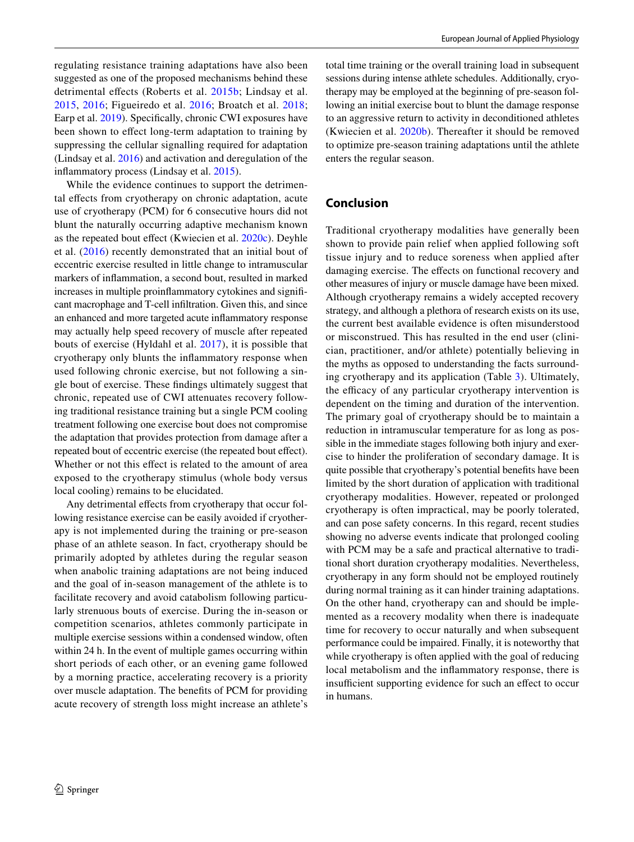regulating resistance training adaptations have also been suggested as one of the proposed mechanisms behind these detrimental effects (Roberts et al. [2015b](#page-16-5); Lindsay et al. [2015,](#page-14-33) [2016;](#page-14-34) Figueiredo et al. [2016;](#page-12-30) Broatch et al. [2018](#page-11-13); Earp et al. [2019](#page-12-31)). Specifically, chronic CWI exposures have been shown to efect long-term adaptation to training by suppressing the cellular signalling required for adaptation (Lindsay et al. [2016](#page-14-34)) and activation and deregulation of the infammatory process (Lindsay et al. [2015](#page-14-33)).

While the evidence continues to support the detrimental efects from cryotherapy on chronic adaptation, acute use of cryotherapy (PCM) for 6 consecutive hours did not blunt the naturally occurring adaptive mechanism known as the repeated bout effect (Kwiecien et al. [2020c\)](#page-14-31). Deyhle et al. [\(2016\)](#page-12-32) recently demonstrated that an initial bout of eccentric exercise resulted in little change to intramuscular markers of infammation, a second bout, resulted in marked increases in multiple proinfammatory cytokines and signifcant macrophage and T-cell infltration. Given this, and since an enhanced and more targeted acute infammatory response may actually help speed recovery of muscle after repeated bouts of exercise (Hyldahl et al. [2017\)](#page-13-36), it is possible that cryotherapy only blunts the infammatory response when used following chronic exercise, but not following a single bout of exercise. These fndings ultimately suggest that chronic, repeated use of CWI attenuates recovery following traditional resistance training but a single PCM cooling treatment following one exercise bout does not compromise the adaptation that provides protection from damage after a repeated bout of eccentric exercise (the repeated bout effect). Whether or not this effect is related to the amount of area exposed to the cryotherapy stimulus (whole body versus local cooling) remains to be elucidated.

Any detrimental effects from cryotherapy that occur following resistance exercise can be easily avoided if cryotherapy is not implemented during the training or pre-season phase of an athlete season. In fact, cryotherapy should be primarily adopted by athletes during the regular season when anabolic training adaptations are not being induced and the goal of in-season management of the athlete is to facilitate recovery and avoid catabolism following particularly strenuous bouts of exercise. During the in-season or competition scenarios, athletes commonly participate in multiple exercise sessions within a condensed window, often within 24 h. In the event of multiple games occurring within short periods of each other, or an evening game followed by a morning practice, accelerating recovery is a priority over muscle adaptation. The benefts of PCM for providing acute recovery of strength loss might increase an athlete's

total time training or the overall training load in subsequent sessions during intense athlete schedules. Additionally, cryotherapy may be employed at the beginning of pre-season following an initial exercise bout to blunt the damage response to an aggressive return to activity in deconditioned athletes (Kwiecien et al. [2020b](#page-14-32)). Thereafter it should be removed to optimize pre-season training adaptations until the athlete enters the regular season.

# **Conclusion**

Traditional cryotherapy modalities have generally been shown to provide pain relief when applied following soft tissue injury and to reduce soreness when applied after damaging exercise. The effects on functional recovery and other measures of injury or muscle damage have been mixed. Although cryotherapy remains a widely accepted recovery strategy, and although a plethora of research exists on its use, the current best available evidence is often misunderstood or misconstrued. This has resulted in the end user (clinician, practitioner, and/or athlete) potentially believing in the myths as opposed to understanding the facts surrounding cryotherapy and its application (Table [3](#page-10-0)). Ultimately, the efficacy of any particular cryotherapy intervention is dependent on the timing and duration of the intervention. The primary goal of cryotherapy should be to maintain a reduction in intramuscular temperature for as long as possible in the immediate stages following both injury and exercise to hinder the proliferation of secondary damage. It is quite possible that cryotherapy's potential benefts have been limited by the short duration of application with traditional cryotherapy modalities. However, repeated or prolonged cryotherapy is often impractical, may be poorly tolerated, and can pose safety concerns. In this regard, recent studies showing no adverse events indicate that prolonged cooling with PCM may be a safe and practical alternative to traditional short duration cryotherapy modalities. Nevertheless, cryotherapy in any form should not be employed routinely during normal training as it can hinder training adaptations. On the other hand, cryotherapy can and should be implemented as a recovery modality when there is inadequate time for recovery to occur naturally and when subsequent performance could be impaired. Finally, it is noteworthy that while cryotherapy is often applied with the goal of reducing local metabolism and the infammatory response, there is insufficient supporting evidence for such an effect to occur in humans.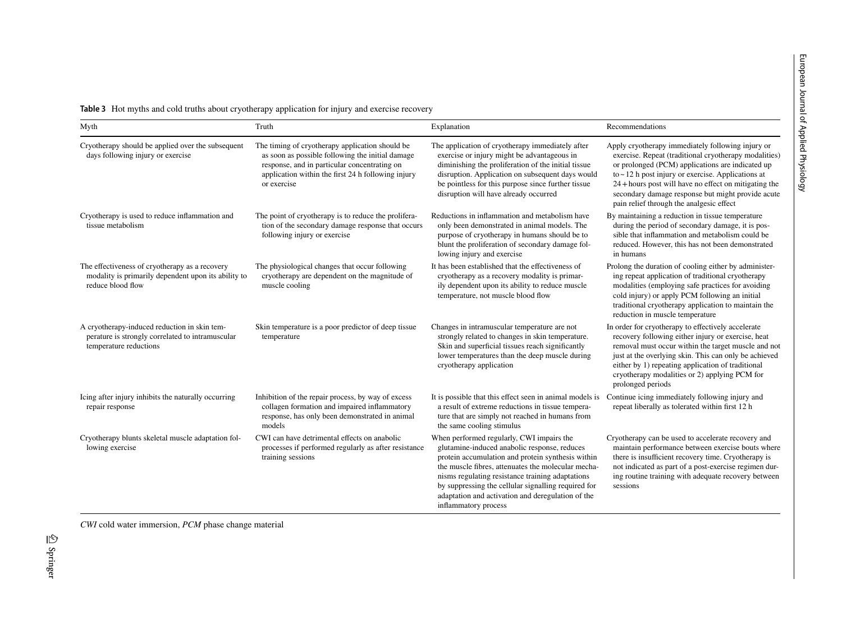**Table 3** Hot myths and cold truths about cryotherapy application for injury and exercise recovery

| Myth                                                                                                                       | Truth                                                                                                                                                                                                                    | Explanation                                                                                                                                                                                                                                                                                                                                                                                  | Recommendations                                                                                                                                                                                                                                                                                                                                                                       |
|----------------------------------------------------------------------------------------------------------------------------|--------------------------------------------------------------------------------------------------------------------------------------------------------------------------------------------------------------------------|----------------------------------------------------------------------------------------------------------------------------------------------------------------------------------------------------------------------------------------------------------------------------------------------------------------------------------------------------------------------------------------------|---------------------------------------------------------------------------------------------------------------------------------------------------------------------------------------------------------------------------------------------------------------------------------------------------------------------------------------------------------------------------------------|
| Cryotherapy should be applied over the subsequent<br>days following injury or exercise                                     | The timing of cryotherapy application should be<br>as soon as possible following the initial damage<br>response, and in particular concentrating on<br>application within the first 24 h following injury<br>or exercise | The application of cryotherapy immediately after<br>exercise or injury might be advantageous in<br>diminishing the proliferation of the initial tissue<br>disruption. Application on subsequent days would<br>be pointless for this purpose since further tissue<br>disruption will have already occurred                                                                                    | Apply cryotherapy immediately following injury or<br>exercise. Repeat (traditional cryotherapy modalities)<br>or prolonged (PCM) applications are indicated up<br>to $\sim$ 12 h post injury or exercise. Applications at<br>$24 +$ hours post will have no effect on mitigating the<br>secondary damage response but might provide acute<br>pain relief through the analgesic effect |
| Cryotherapy is used to reduce inflammation and<br>tissue metabolism                                                        | The point of cryotherapy is to reduce the prolifera-<br>tion of the secondary damage response that occurs<br>following injury or exercise                                                                                | Reductions in inflammation and metabolism have<br>only been demonstrated in animal models. The<br>purpose of cryotherapy in humans should be to<br>blunt the proliferation of secondary damage fol-<br>lowing injury and exercise                                                                                                                                                            | By maintaining a reduction in tissue temperature<br>during the period of secondary damage, it is pos-<br>sible that inflammation and metabolism could be<br>reduced. However, this has not been demonstrated<br>in humans                                                                                                                                                             |
| The effectiveness of cryotherapy as a recovery<br>modality is primarily dependent upon its ability to<br>reduce blood flow | The physiological changes that occur following<br>cryotherapy are dependent on the magnitude of<br>muscle cooling                                                                                                        | It has been established that the effectiveness of<br>cryotherapy as a recovery modality is primar-<br>ily dependent upon its ability to reduce muscle<br>temperature, not muscle blood flow                                                                                                                                                                                                  | Prolong the duration of cooling either by administer-<br>ing repeat application of traditional cryotherapy<br>modalities (employing safe practices for avoiding<br>cold injury) or apply PCM following an initial<br>traditional cryotherapy application to maintain the<br>reduction in muscle temperature                                                                           |
| A cryotherapy-induced reduction in skin tem-<br>perature is strongly correlated to intramuscular<br>temperature reductions | Skin temperature is a poor predictor of deep tissue<br>temperature                                                                                                                                                       | Changes in intramuscular temperature are not<br>strongly related to changes in skin temperature.<br>Skin and superficial tissues reach significantly<br>lower temperatures than the deep muscle during<br>cryotherapy application                                                                                                                                                            | In order for cryotherapy to effectively accelerate<br>recovery following either injury or exercise, heat<br>removal must occur within the target muscle and not<br>just at the overlying skin. This can only be achieved<br>either by 1) repeating application of traditional<br>cryotherapy modalities or 2) applying PCM for<br>prolonged periods                                   |
| Icing after injury inhibits the naturally occurring<br>repair response                                                     | Inhibition of the repair process, by way of excess<br>collagen formation and impaired inflammatory<br>response, has only been demonstrated in animal<br>models                                                           | It is possible that this effect seen in animal models is<br>a result of extreme reductions in tissue tempera-<br>ture that are simply not reached in humans from<br>the same cooling stimulus                                                                                                                                                                                                | Continue icing immediately following injury and<br>repeat liberally as tolerated within first 12 h                                                                                                                                                                                                                                                                                    |
| Cryotherapy blunts skeletal muscle adaptation fol-<br>lowing exercise                                                      | CWI can have detrimental effects on anabolic<br>processes if performed regularly as after resistance<br>training sessions                                                                                                | When performed regularly, CWI impairs the<br>glutamine-induced anabolic response, reduces<br>protein accumulation and protein synthesis within<br>the muscle fibres, attenuates the molecular mecha-<br>nisms regulating resistance training adaptations<br>by suppressing the cellular signalling required for<br>adaptation and activation and deregulation of the<br>inflammatory process | Cryotherapy can be used to accelerate recovery and<br>maintain performance between exercise bouts where<br>there is insufficient recovery time. Cryotherapy is<br>not indicated as part of a post-exercise regimen dur-<br>ing routine training with adequate recovery between<br>sessions                                                                                            |

<span id="page-10-0"></span>*CWI* cold water immersion, *PCM* phase change material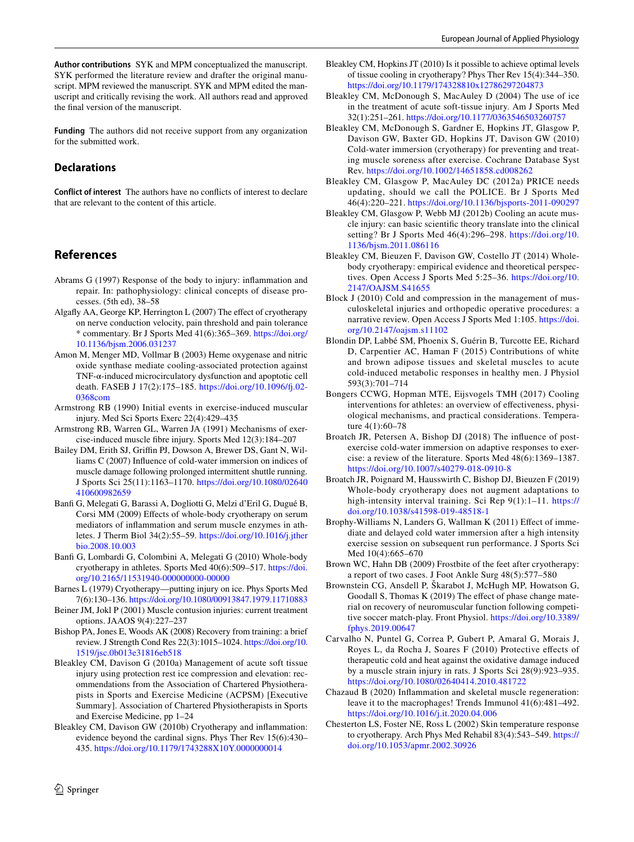**Funding** The authors did not receive support from any organization for the submitted work.

# **Declarations**

**Conflict of interest** The authors have no conficts of interest to declare that are relevant to the content of this article.

# **References**

- <span id="page-11-2"></span>Abrams G (1997) Response of the body to injury: infammation and repair. In: pathophysiology: clinical concepts of disease processes. (5th ed), 38–58
- <span id="page-11-21"></span>Algafy AA, George KP, Herrington L (2007) The efect of cryotherapy on nerve conduction velocity, pain threshold and pain tolerance \* commentary. Br J Sports Med 41(6):365–369. [https://doi.org/](https://doi.org/10.1136/bjsm.2006.031237) [10.1136/bjsm.2006.031237](https://doi.org/10.1136/bjsm.2006.031237)
- <span id="page-11-16"></span>Amon M, Menger MD, Vollmar B (2003) Heme oxygenase and nitric oxide synthase mediate cooling-associated protection against TNF-α-induced microcirculatory dysfunction and apoptotic cell death. FASEB J 17(2):175–185. [https://doi.org/10.1096/f.02-](https://doi.org/10.1096/fj.02-0368com) [0368com](https://doi.org/10.1096/fj.02-0368com)
- <span id="page-11-0"></span>Armstrong RB (1990) Initial events in exercise-induced muscular injury. Med Sci Sports Exerc 22(4):429–435
- <span id="page-11-1"></span>Armstrong RB, Warren GL, Warren JA (1991) Mechanisms of exercise-induced muscle fbre injury. Sports Med 12(3):184–207
- <span id="page-11-27"></span>Bailey DM, Erith SJ, Griffin PJ, Dowson A, Brewer DS, Gant N, Williams C (2007) Infuence of cold-water immersion on indices of muscle damage following prolonged intermittent shuttle running. J Sports Sci 25(11):1163–1170. [https://doi.org/10.1080/02640](https://doi.org/10.1080/02640410600982659) [410600982659](https://doi.org/10.1080/02640410600982659)
- <span id="page-11-24"></span>Banf G, Melegati G, Barassi A, Dogliotti G, Melzi d'Eril G, Dugué B, Corsi MM (2009) Effects of whole-body cryotherapy on serum mediators of infammation and serum muscle enzymes in athletes. J Therm Biol 34(2):55–59. [https://doi.org/10.1016/j.jther](https://doi.org/10.1016/j.jtherbio.2008.10.003) [bio.2008.10.003](https://doi.org/10.1016/j.jtherbio.2008.10.003)
- <span id="page-11-22"></span>Banf G, Lombardi G, Colombini A, Melegati G (2010) Whole-body cryotherapy in athletes. Sports Med 40(6):509–517. [https://doi.](https://doi.org/10.2165/11531940-000000000-00000) [org/10.2165/11531940-000000000-00000](https://doi.org/10.2165/11531940-000000000-00000)
- <span id="page-11-4"></span>Barnes L (1979) Cryotherapy—putting injury on ice. Phys Sports Med 7(6):130–136.<https://doi.org/10.1080/00913847.1979.11710883>
- <span id="page-11-20"></span>Beiner JM, Jokl P (2001) Muscle contusion injuries: current treatment options. JAAOS 9(4):227–237
- <span id="page-11-8"></span>Bishop PA, Jones E, Woods AK (2008) Recovery from training: a brief review. J Strength Cond Res 22(3):1015–1024. [https://doi.org/10.](https://doi.org/10.1519/jsc.0b013e31816eb518) [1519/jsc.0b013e31816eb518](https://doi.org/10.1519/jsc.0b013e31816eb518)
- <span id="page-11-7"></span>Bleakley CM, Davison G (2010a) Management of acute soft tissue injury using protection rest ice compression and elevation: recommendations from the Association of Chartered Physiotherapists in Sports and Exercise Medicine (ACPSM) [Executive Summary]. Association of Chartered Physiotherapists in Sports and Exercise Medicine, pp 1–24
- <span id="page-11-14"></span>Bleakley CM, Davison GW (2010b) Cryotherapy and infammation: evidence beyond the cardinal signs. Phys Ther Rev 15(6):430– 435. <https://doi.org/10.1179/1743288X10Y.0000000014>
- <span id="page-11-15"></span>Bleakley CM, Hopkins JT (2010) Is it possible to achieve optimal levels of tissue cooling in cryotherapy? Phys Ther Rev 15(4):344–350. <https://doi.org/10.1179/174328810x12786297204873>
- <span id="page-11-5"></span>Bleakley CM, McDonough S, MacAuley D (2004) The use of ice in the treatment of acute soft-tissue injury. Am J Sports Med 32(1):251–261.<https://doi.org/10.1177/0363546503260757>
- <span id="page-11-11"></span>Bleakley CM, McDonough S, Gardner E, Hopkins JT, Glasgow P, Davison GW, Baxter GD, Hopkins JT, Davison GW (2010) Cold-water immersion (cryotherapy) for preventing and treating muscle soreness after exercise. Cochrane Database Syst Rev.<https://doi.org/10.1002/14651858.cd008262>
- <span id="page-11-9"></span>Bleakley CM, Glasgow P, MacAuley DC (2012a) PRICE needs updating, should we call the POLICE. Br J Sports Med 46(4):220–221.<https://doi.org/10.1136/bjsports-2011-090297>
- <span id="page-11-3"></span>Bleakley CM, Glasgow P, Webb MJ (2012b) Cooling an acute muscle injury: can basic scientifc theory translate into the clinical setting? Br J Sports Med 46(4):296–298. [https://doi.org/10.](https://doi.org/10.1136/bjsm.2011.086116) [1136/bjsm.2011.086116](https://doi.org/10.1136/bjsm.2011.086116)
- <span id="page-11-23"></span>Bleakley CM, Bieuzen F, Davison GW, Costello JT (2014) Wholebody cryotherapy: empirical evidence and theoretical perspectives. Open Access J Sports Med 5:25–36. [https://doi.org/10.](https://doi.org/10.2147/OAJSM.S41655) [2147/OAJSM.S41655](https://doi.org/10.2147/OAJSM.S41655)
- <span id="page-11-10"></span>Block J (2010) Cold and compression in the management of musculoskeletal injuries and orthopedic operative procedures: a narrative review. Open Access J Sports Med 1:105. [https://doi.](https://doi.org/10.2147/oajsm.s11102) [org/10.2147/oajsm.s11102](https://doi.org/10.2147/oajsm.s11102)
- <span id="page-11-17"></span>Blondin DP, Labbé SM, Phoenix S, Guérin B, Turcotte EE, Richard D, Carpentier AC, Haman F (2015) Contributions of white and brown adipose tissues and skeletal muscles to acute cold-induced metabolic responses in healthy men. J Physiol 593(3):701–714
- <span id="page-11-12"></span>Bongers CCWG, Hopman MTE, Eijsvogels TMH (2017) Cooling interventions for athletes: an overview of efectiveness, physiological mechanisms, and practical considerations. Temperature 4(1):60–78
- <span id="page-11-13"></span>Broatch JR, Petersen A, Bishop DJ (2018) The infuence of postexercise cold-water immersion on adaptive responses to exercise: a review of the literature. Sports Med 48(6):1369–1387. <https://doi.org/10.1007/s40279-018-0910-8>
- <span id="page-11-25"></span>Broatch JR, Poignard M, Hausswirth C, Bishop DJ, Bieuzen F (2019) Whole-body cryotherapy does not augment adaptations to high-intensity interval training. Sci Rep 9(1):1–11. [https://](https://doi.org/10.1038/s41598-019-48518-1) [doi.org/10.1038/s41598-019-48518-1](https://doi.org/10.1038/s41598-019-48518-1)
- <span id="page-11-26"></span>Brophy-Williams N, Landers G, Wallman K (2011) Efect of immediate and delayed cold water immersion after a high intensity exercise session on subsequent run performance. J Sports Sci Med 10(4):665–670
- <span id="page-11-19"></span>Brown WC, Hahn DB (2009) Frostbite of the feet after cryotherapy: a report of two cases. J Foot Ankle Surg 48(5):577–580
- <span id="page-11-28"></span>Brownstein CG, Ansdell P, Škarabot J, McHugh MP, Howatson G, Goodall S, Thomas K (2019) The effect of phase change material on recovery of neuromuscular function following competitive soccer match-play. Front Physiol. [https://doi.org/10.3389/](https://doi.org/10.3389/fphys.2019.00647) [fphys.2019.00647](https://doi.org/10.3389/fphys.2019.00647)
- <span id="page-11-6"></span>Carvalho N, Puntel G, Correa P, Gubert P, Amaral G, Morais J, Royes L, da Rocha J, Soares F (2010) Protective efects of therapeutic cold and heat against the oxidative damage induced by a muscle strain injury in rats. J Sports Sci 28(9):923–935. <https://doi.org/10.1080/02640414.2010.481722>
- <span id="page-11-29"></span>Chazaud B (2020) Infammation and skeletal muscle regeneration: leave it to the macrophages! Trends Immunol 41(6):481–492. <https://doi.org/10.1016/j.it.2020.04.006>
- <span id="page-11-18"></span>Chesterton LS, Foster NE, Ross L (2002) Skin temperature response to cryotherapy. Arch Phys Med Rehabil 83(4):543–549. [https://](https://doi.org/10.1053/apmr.2002.30926) [doi.org/10.1053/apmr.2002.30926](https://doi.org/10.1053/apmr.2002.30926)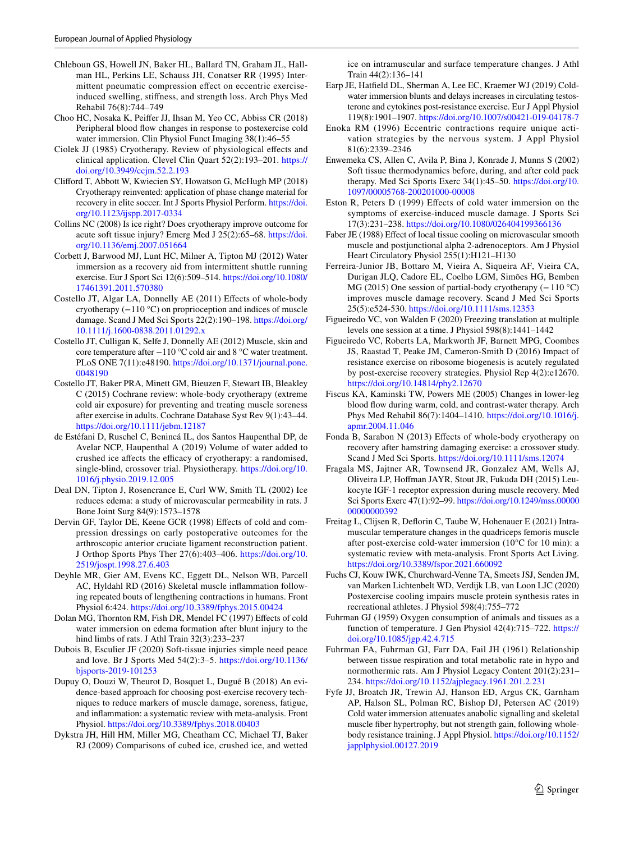- <span id="page-12-20"></span>Chleboun GS, Howell JN, Baker HL, Ballard TN, Graham JL, Hallman HL, Perkins LE, Schauss JH, Conatser RR (1995) Intermittent pneumatic compression efect on eccentric exerciseinduced swelling, stifness, and strength loss. Arch Phys Med Rehabil 76(8):744–749
- <span id="page-12-16"></span>Choo HC, Nosaka K, Peifer JJ, Ihsan M, Yeo CC, Abbiss CR (2018) Peripheral blood fow changes in response to postexercise cold water immersion. Clin Physiol Funct Imaging 38(1):46–55
- <span id="page-12-7"></span>Ciolek JJ (1985) Cryotherapy. Review of physiological efects and clinical application. Clevel Clin Quart 52(2):193–201. [https://](https://doi.org/10.3949/ccjm.52.2.193) [doi.org/10.3949/ccjm.52.2.193](https://doi.org/10.3949/ccjm.52.2.193)
- <span id="page-12-27"></span>Cliford T, Abbott W, Kwiecien SY, Howatson G, McHugh MP (2018) Cryotherapy reinvented: application of phase change material for recovery in elite soccer. Int J Sports Physiol Perform. [https://doi.](https://doi.org/10.1123/ijspp.2017-0334) [org/10.1123/ijspp.2017-0334](https://doi.org/10.1123/ijspp.2017-0334)
- <span id="page-12-2"></span>Collins NC (2008) Is ice right? Does cryotherapy improve outcome for acute soft tissue injury? Emerg Med J 25(2):65–68. [https://doi.](https://doi.org/10.1136/emj.2007.051664) [org/10.1136/emj.2007.051664](https://doi.org/10.1136/emj.2007.051664)
- <span id="page-12-26"></span>Corbett J, Barwood MJ, Lunt HC, Milner A, Tipton MJ (2012) Water immersion as a recovery aid from intermittent shuttle running exercise. Eur J Sport Sci 12(6):509–514. [https://doi.org/10.1080/](https://doi.org/10.1080/17461391.2011.570380) [17461391.2011.570380](https://doi.org/10.1080/17461391.2011.570380)
- <span id="page-12-25"></span>Costello JT, Algar LA, Donnelly AE (2011) Efects of whole-body cryotherapy (−110 °C) on proprioception and indices of muscle damage. Scand J Med Sci Sports 22(2):190–198. [https://doi.org/](https://doi.org/10.1111/j.1600-0838.2011.01292.x) [10.1111/j.1600-0838.2011.01292.x](https://doi.org/10.1111/j.1600-0838.2011.01292.x)
- <span id="page-12-19"></span>Costello JT, Culligan K, Selfe J, Donnelly AE (2012) Muscle, skin and core temperature after −110 °C cold air and 8 °C water treatment. PLoS ONE 7(11):e48190. [https://doi.org/10.1371/journal.pone.](https://doi.org/10.1371/journal.pone.0048190) [0048190](https://doi.org/10.1371/journal.pone.0048190)
- <span id="page-12-22"></span>Costello JT, Baker PRA, Minett GM, Bieuzen F, Stewart IB, Bleakley C (2015) Cochrane review: whole-body cryotherapy (extreme cold air exposure) for preventing and treating muscle soreness after exercise in adults. Cochrane Database Syst Rev 9(1):43–44. <https://doi.org/10.1111/jebm.12187>
- <span id="page-12-18"></span>de Estéfani D, Ruschel C, Benincá IL, dos Santos Haupenthal DP, de Avelar NCP, Haupenthal A (2019) Volume of water added to crushed ice affects the efficacy of cryotherapy: a randomised, single-blind, crossover trial. Physiotherapy. [https://doi.org/10.](https://doi.org/10.1016/j.physio.2019.12.005) [1016/j.physio.2019.12.005](https://doi.org/10.1016/j.physio.2019.12.005)
- <span id="page-12-12"></span>Deal DN, Tipton J, Rosencrance E, Curl WW, Smith TL (2002) Ice reduces edema: a study of microvascular permeability in rats. J Bone Joint Surg 84(9):1573–1578
- <span id="page-12-21"></span>Dervin GF, Taylor DE, Keene GCR (1998) Effects of cold and compression dressings on early postoperative outcomes for the arthroscopic anterior cruciate ligament reconstruction patient. J Orthop Sports Phys Ther 27(6):403–406. [https://doi.org/10.](https://doi.org/10.2519/jospt.1998.27.6.403) [2519/jospt.1998.27.6.403](https://doi.org/10.2519/jospt.1998.27.6.403)
- <span id="page-12-32"></span>Deyhle MR, Gier AM, Evens KC, Eggett DL, Nelson WB, Parcell AC, Hyldahl RD (2016) Skeletal muscle infammation following repeated bouts of lengthening contractions in humans. Front Physiol 6:424. <https://doi.org/10.3389/fphys.2015.00424>
- <span id="page-12-11"></span>Dolan MG, Thornton RM, Fish DR, Mendel FC (1997) Effects of cold water immersion on edema formation after blunt injury to the hind limbs of rats. J Athl Train 32(3):233–237
- <span id="page-12-4"></span>Dubois B, Esculier JF (2020) Soft-tissue injuries simple need peace and love. Br J Sports Med 54(2):3–5. [https://doi.org/10.1136/](https://doi.org/10.1136/bjsports-2019-101253) [bjsports-2019-101253](https://doi.org/10.1136/bjsports-2019-101253)
- <span id="page-12-3"></span>Dupuy O, Douzi W, Theurot D, Bosquet L, Dugué B (2018) An evidence-based approach for choosing post-exercise recovery techniques to reduce markers of muscle damage, soreness, fatigue, and infammation: a systematic review with meta-analysis. Front Physiol.<https://doi.org/10.3389/fphys.2018.00403>
- <span id="page-12-1"></span>Dykstra JH, Hill HM, Miller MG, Cheatham CC, Michael TJ, Baker RJ (2009) Comparisons of cubed ice, crushed ice, and wetted

ice on intramuscular and surface temperature changes. J Athl Train 44(2):136–141

- <span id="page-12-31"></span>Earp JE, Hatfeld DL, Sherman A, Lee EC, Kraemer WJ (2019) Coldwater immersion blunts and delays increases in circulating testosterone and cytokines post-resistance exercise. Eur J Appl Physiol 119(8):1901–1907. <https://doi.org/10.1007/s00421-019-04178-7>
- <span id="page-12-5"></span>Enoka RM (1996) Eccentric contractions require unique activation strategies by the nervous system. J Appl Physiol 81(6):2339–2346
- <span id="page-12-0"></span>Enwemeka CS, Allen C, Avila P, Bina J, Konrade J, Munns S (2002) Soft tissue thermodynamics before, during, and after cold pack therapy. Med Sci Sports Exerc 34(1):45–50. [https://doi.org/10.](https://doi.org/10.1097/00005768-200201000-00008) [1097/00005768-200201000-00008](https://doi.org/10.1097/00005768-200201000-00008)
- <span id="page-12-8"></span>Eston R, Peters D (1999) Efects of cold water immersion on the symptoms of exercise-induced muscle damage. J Sports Sci 17(3):231–238. <https://doi.org/10.1080/026404199366136>
- <span id="page-12-13"></span>Faber JE (1988) Effect of local tissue cooling on microvascular smooth muscle and postjunctional alpha 2-adrenoceptors. Am J Physiol Heart Circulatory Physiol 255(1):H121–H130
- <span id="page-12-24"></span>Ferreira-Junior JB, Bottaro M, Vieira A, Siqueira AF, Vieira CA, Durigan JLQ, Cadore EL, Coelho LGM, Simões HG, Bemben MG (2015) One session of partial-body cryotherapy (−110 °C) improves muscle damage recovery. Scand J Med Sci Sports 25(5):e524-530.<https://doi.org/10.1111/sms.12353>
- <span id="page-12-29"></span>Figueiredo VC, von Walden F (2020) Freezing translation at multiple levels one session at a time. J Physiol 598(8):1441–1442
- <span id="page-12-30"></span>Figueiredo VC, Roberts LA, Markworth JF, Barnett MPG, Coombes JS, Raastad T, Peake JM, Cameron-Smith D (2016) Impact of resistance exercise on ribosome biogenesis is acutely regulated by post-exercise recovery strategies. Physiol Rep 4(2):e12670. <https://doi.org/10.14814/phy2.12670>
- <span id="page-12-15"></span>Fiscus KA, Kaminski TW, Powers ME (2005) Changes in lower-leg blood fow during warm, cold, and contrast-water therapy. Arch Phys Med Rehabil 86(7):1404–1410. [https://doi.org/10.1016/j.](https://doi.org/10.1016/j.apmr.2004.11.046) [apmr.2004.11.046](https://doi.org/10.1016/j.apmr.2004.11.046)
- <span id="page-12-23"></span>Fonda B, Sarabon N (2013) Effects of whole-body cryotherapy on recovery after hamstring damaging exercise: a crossover study. Scand J Med Sci Sports.<https://doi.org/10.1111/sms.12074>
- <span id="page-12-14"></span>Fragala MS, Jajtner AR, Townsend JR, Gonzalez AM, Wells AJ, Oliveira LP, Hofman JAYR, Stout JR, Fukuda DH (2015) Leukocyte IGF-1 receptor expression during muscle recovery. Med Sci Sports Exerc 47(1):92–99. [https://doi.org/10.1249/mss.00000](https://doi.org/10.1249/mss.0000000000000392) [00000000392](https://doi.org/10.1249/mss.0000000000000392)
- <span id="page-12-17"></span>Freitag L, Clijsen R, Deforin C, Taube W, Hohenauer E (2021) Intramuscular temperature changes in the quadriceps femoris muscle after post-exercise cold-water immersion (10°C for 10 min): a systematic review with meta-analysis. Front Sports Act Living. <https://doi.org/10.3389/fspor.2021.660092>
- <span id="page-12-28"></span>Fuchs CJ, Kouw IWK, Churchward-Venne TA, Smeets JSJ, Senden JM, van Marken Lichtenbelt WD, Verdijk LB, van Loon LJC (2020) Postexercise cooling impairs muscle protein synthesis rates in recreational athletes. J Physiol 598(4):755–772
- <span id="page-12-9"></span>Fuhrman GJ (1959) Oxygen consumption of animals and tissues as a function of temperature. J Gen Physiol 42(4):715–722. [https://](https://doi.org/10.1085/jgp.42.4.715) [doi.org/10.1085/jgp.42.4.715](https://doi.org/10.1085/jgp.42.4.715)
- <span id="page-12-10"></span>Fuhrman FA, Fuhrman GJ, Farr DA, Fail JH (1961) Relationship between tissue respiration and total metabolic rate in hypo and normothermic rats. Am J Physiol Legacy Content 201(2):231– 234. <https://doi.org/10.1152/ajplegacy.1961.201.2.231>
- <span id="page-12-6"></span>Fyfe JJ, Broatch JR, Trewin AJ, Hanson ED, Argus CK, Garnham AP, Halson SL, Polman RC, Bishop DJ, Petersen AC (2019) Cold water immersion attenuates anabolic signalling and skeletal muscle fber hypertrophy, but not strength gain, following wholebody resistance training. J Appl Physiol. [https://doi.org/10.1152/](https://doi.org/10.1152/japplphysiol.00127.2019) [japplphysiol.00127.2019](https://doi.org/10.1152/japplphysiol.00127.2019)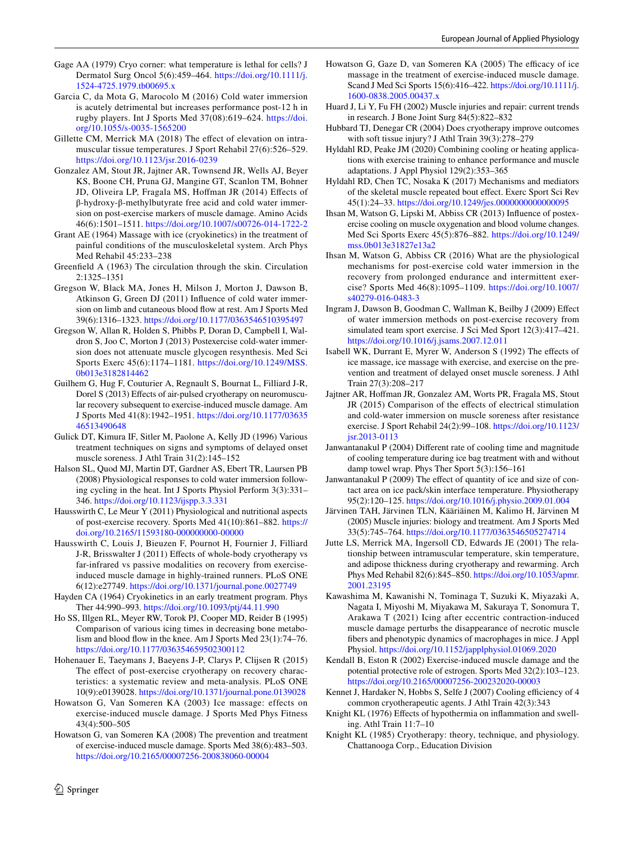- <span id="page-13-27"></span>Gage AA (1979) Cryo corner: what temperature is lethal for cells? J Dermatol Surg Oncol 5(6):459–464. [https://doi.org/10.1111/j.](https://doi.org/10.1111/j.1524-4725.1979.tb00695.x) [1524-4725.1979.tb00695.x](https://doi.org/10.1111/j.1524-4725.1979.tb00695.x)
- <span id="page-13-34"></span>Garcia C, da Mota G, Marocolo M (2016) Cold water immersion is acutely detrimental but increases performance post-12 h in rugby players. Int J Sports Med 37(08):619–624. [https://doi.](https://doi.org/10.1055/s-0035-1565200) [org/10.1055/s-0035-1565200](https://doi.org/10.1055/s-0035-1565200)
- <span id="page-13-10"></span>Gillette CM, Merrick MA (2018) The effect of elevation on intramuscular tissue temperatures. J Sport Rehabil 27(6):526–529. <https://doi.org/10.1123/jsr.2016-0239>
- <span id="page-13-19"></span>Gonzalez AM, Stout JR, Jajtner AR, Townsend JR, Wells AJ, Beyer KS, Boone CH, Pruna GJ, Mangine GT, Scanlon TM, Bohner JD, Oliveira LP, Fragala MS, Hofman JR (2014) Efects of β-hydroxy-β-methylbutyrate free acid and cold water immersion on post-exercise markers of muscle damage. Amino Acids 46(6):1501–1511. <https://doi.org/10.1007/s00726-014-1722-2>
- <span id="page-13-0"></span>Grant AE (1964) Massage with ice (cryokinetics) in the treatment of painful conditions of the musculoskeletal system. Arch Phys Med Rehabil 45:233–238
- <span id="page-13-15"></span>Greenfeld A (1963) The circulation through the skin. Circulation 2:1325–1351
- <span id="page-13-21"></span>Gregson W, Black MA, Jones H, Milson J, Morton J, Dawson B, Atkinson G, Green DJ (2011) Infuence of cold water immersion on limb and cutaneous blood fow at rest. Am J Sports Med 39(6):1316–1323.<https://doi.org/10.1177/0363546510395497>
- <span id="page-13-26"></span>Gregson W, Allan R, Holden S, Phibbs P, Doran D, Campbell I, Waldron S, Joo C, Morton J (2013) Postexercise cold-water immersion does not attenuate muscle glycogen resynthesis. Med Sci Sports Exerc 45(6):1174–1181. [https://doi.org/10.1249/MSS.](https://doi.org/10.1249/MSS.0b013e3182814462) [0b013e3182814462](https://doi.org/10.1249/MSS.0b013e3182814462)
- <span id="page-13-17"></span>Guilhem G, Hug F, Couturier A, Regnault S, Bournat L, Filliard J-R, Dorel S (2013) Effects of air-pulsed cryotherapy on neuromuscular recovery subsequent to exercise-induced muscle damage. Am J Sports Med 41(8):1942–1951. [https://doi.org/10.1177/03635](https://doi.org/10.1177/0363546513490648) [46513490648](https://doi.org/10.1177/0363546513490648)
- <span id="page-13-28"></span>Gulick DT, Kimura IF, Sitler M, Paolone A, Kelly JD (1996) Various treatment techniques on signs and symptoms of delayed onset muscle soreness. J Athl Train 31(2):145–152
- <span id="page-13-33"></span>Halson SL, Quod MJ, Martin DT, Gardner AS, Ebert TR, Laursen PB (2008) Physiological responses to cold water immersion following cycling in the heat. Int J Sports Physiol Perform 3(3):331– 346. <https://doi.org/10.1123/ijspp.3.3.331>
- <span id="page-13-35"></span>Hausswirth C, Le Meur Y (2011) Physiological and nutritional aspects of post-exercise recovery. Sports Med 41(10):861–882. [https://](https://doi.org/10.2165/11593180-000000000-00000) [doi.org/10.2165/11593180-000000000-00000](https://doi.org/10.2165/11593180-000000000-00000)
- <span id="page-13-32"></span>Hausswirth C, Louis J, Bieuzen F, Pournot H, Fournier J, Filliard J-R, Brisswalter J (2011) Efects of whole-body cryotherapy vs far-infrared vs passive modalities on recovery from exerciseinduced muscle damage in highly-trained runners. PLoS ONE 6(12):e27749.<https://doi.org/10.1371/journal.pone.0027749>
- <span id="page-13-1"></span>Hayden CA (1964) Cryokinetics in an early treatment program. Phys Ther 44:990–993.<https://doi.org/10.1093/ptj/44.11.990>
- <span id="page-13-14"></span>Ho SS, Illgen RL, Meyer RW, Torok PJ, Cooper MD, Reider B (1995) Comparison of various icing times in decreasing bone metabolism and blood fow in the knee. Am J Sports Med 23(1):74–76. <https://doi.org/10.1177/036354659502300112>
- <span id="page-13-11"></span>Hohenauer E, Taeymans J, Baeyens J-P, Clarys P, Clijsen R (2015) The effect of post-exercise cryotherapy on recovery characteristics: a systematic review and meta-analysis. PLoS ONE 10(9):e0139028. <https://doi.org/10.1371/journal.pone.0139028>
- <span id="page-13-29"></span>Howatson G, Van Someren KA (2003) Ice massage: effects on exercise-induced muscle damage. J Sports Med Phys Fitness 43(4):500–505
- <span id="page-13-7"></span>Howatson G, van Someren KA (2008) The prevention and treatment of exercise-induced muscle damage. Sports Med 38(6):483–503. <https://doi.org/10.2165/00007256-200838060-00004>
- <span id="page-13-30"></span>Howatson G, Gaze D, van Someren KA (2005) The efficacy of ice massage in the treatment of exercise-induced muscle damage. Scand J Med Sci Sports 15(6):416–422. [https://doi.org/10.1111/j.](https://doi.org/10.1111/j.1600-0838.2005.00437.x) [1600-0838.2005.00437.x](https://doi.org/10.1111/j.1600-0838.2005.00437.x)
- <span id="page-13-4"></span>Huard J, Li Y, Fu FH (2002) Muscle injuries and repair: current trends in research. J Bone Joint Surg 84(5):822–832
- <span id="page-13-9"></span>Hubbard TJ, Denegar CR (2004) Does cryotherapy improve outcomes with soft tissue injury? J Athl Train 39(3):278–279
- <span id="page-13-12"></span>Hyldahl RD, Peake JM (2020) Combining cooling or heating applications with exercise training to enhance performance and muscle adaptations. J Appl Physiol 129(2):353–365
- <span id="page-13-36"></span>Hyldahl RD, Chen TC, Nosaka K (2017) Mechanisms and mediators of the skeletal muscle repeated bout efect. Exerc Sport Sci Rev 45(1):24–33.<https://doi.org/10.1249/jes.0000000000000095>
- <span id="page-13-8"></span>Ihsan M, Watson G, Lipski M, Abbiss CR (2013) Infuence of postexercise cooling on muscle oxygenation and blood volume changes. Med Sci Sports Exerc 45(5):876–882. [https://doi.org/10.1249/](https://doi.org/10.1249/mss.0b013e31827e13a2) [mss.0b013e31827e13a2](https://doi.org/10.1249/mss.0b013e31827e13a2)
- <span id="page-13-13"></span>Ihsan M, Watson G, Abbiss CR (2016) What are the physiological mechanisms for post-exercise cold water immersion in the recovery from prolonged endurance and intermittent exercise? Sports Med 46(8):1095–1109. [https://doi.org/10.1007/](https://doi.org/10.1007/s40279-016-0483-3) [s40279-016-0483-3](https://doi.org/10.1007/s40279-016-0483-3)
- <span id="page-13-18"></span>Ingram J, Dawson B, Goodman C, Wallman K, Beilby J (2009) Efect of water immersion methods on post-exercise recovery from simulated team sport exercise. J Sci Med Sport 12(3):417–421. <https://doi.org/10.1016/j.jsams.2007.12.011>
- <span id="page-13-31"></span>Isabell WK, Durrant E, Myrer W, Anderson S (1992) The efects of ice massage, ice massage with exercise, and exercise on the prevention and treatment of delayed onset muscle soreness. J Athl Train 27(3):208–217
- <span id="page-13-20"></span>Jajtner AR, Hofman JR, Gonzalez AM, Worts PR, Fragala MS, Stout JR (2015) Comparison of the effects of electrical stimulation and cold-water immersion on muscle soreness after resistance exercise. J Sport Rehabil 24(2):99–108. [https://doi.org/10.1123/](https://doi.org/10.1123/jsr.2013-0113) [jsr.2013-0113](https://doi.org/10.1123/jsr.2013-0113)
- <span id="page-13-23"></span>Janwantanakul P (2004) Diferent rate of cooling time and magnitude of cooling temperature during ice bag treatment with and without damp towel wrap. Phys Ther Sport 5(3):156–161
- <span id="page-13-24"></span>Janwantanakul P (2009) The efect of quantity of ice and size of contact area on ice pack/skin interface temperature. Physiotherapy 95(2):120–125.<https://doi.org/10.1016/j.physio.2009.01.004>
- <span id="page-13-5"></span>Järvinen TAH, Järvinen TLN, Kääriäinen M, Kalimo H, Järvinen M (2005) Muscle injuries: biology and treatment. Am J Sports Med 33(5):745–764.<https://doi.org/10.1177/0363546505274714>
- <span id="page-13-22"></span>Jutte LS, Merrick MA, Ingersoll CD, Edwards JE (2001) The relationship between intramuscular temperature, skin temperature, and adipose thickness during cryotherapy and rewarming. Arch Phys Med Rehabil 82(6):845–850. [https://doi.org/10.1053/apmr.](https://doi.org/10.1053/apmr.2001.23195) [2001.23195](https://doi.org/10.1053/apmr.2001.23195)
- <span id="page-13-16"></span>Kawashima M, Kawanishi N, Tominaga T, Suzuki K, Miyazaki A, Nagata I, Miyoshi M, Miyakawa M, Sakuraya T, Sonomura T, Arakawa T (2021) Icing after eccentric contraction-induced muscle damage perturbs the disappearance of necrotic muscle fbers and phenotypic dynamics of macrophages in mice. J Appl Physiol.<https://doi.org/10.1152/japplphysiol.01069.2020>
- <span id="page-13-6"></span>Kendall B, Eston R (2002) Exercise-induced muscle damage and the potential protective role of estrogen. Sports Med 32(2):103–123. <https://doi.org/10.2165/00007256-200232020-00003>
- <span id="page-13-25"></span>Kennet J, Hardaker N, Hobbs S, Selfe J (2007) Cooling efficiency of 4 common cryotherapeutic agents. J Athl Train 42(3):343
- <span id="page-13-2"></span>Knight KL (1976) Effects of hypothermia on inflammation and swelling. Athl Train 11:7–10
- <span id="page-13-3"></span>Knight KL (1985) Cryotherapy: theory, technique, and physiology. Chattanooga Corp., Education Division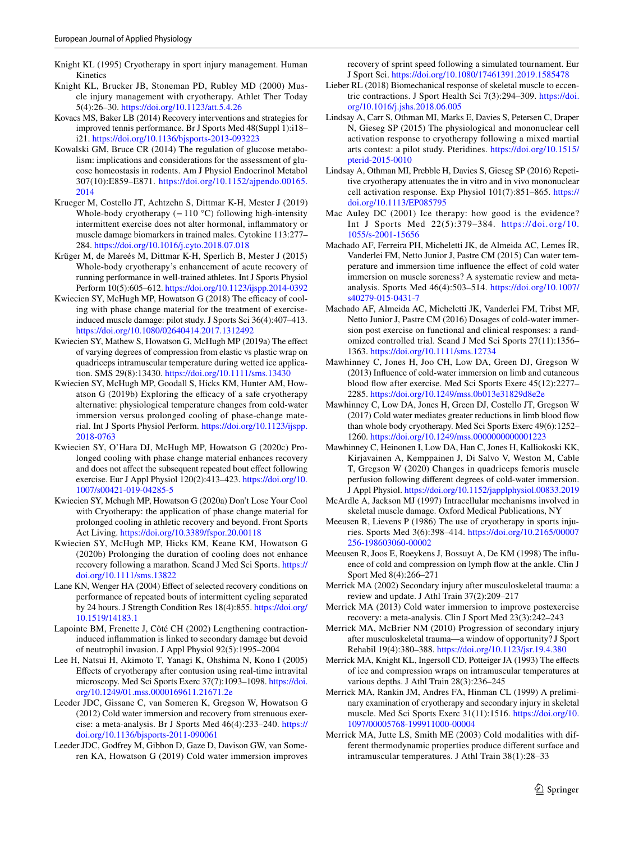- <span id="page-14-0"></span>Knight KL (1995) Cryotherapy in sport injury management. Human Kinetics
- <span id="page-14-1"></span>Knight KL, Brucker JB, Stoneman PD, Rubley MD (2000) Muscle injury management with cryotherapy. Athlet Ther Today 5(4):26–30.<https://doi.org/10.1123/att.5.4.26>
- <span id="page-14-7"></span>Kovacs MS, Baker LB (2014) Recovery interventions and strategies for improved tennis performance. Br J Sports Med 48(Suppl 1):i18– i21. <https://doi.org/10.1136/bjsports-2013-093223>
- <span id="page-14-15"></span>Kowalski GM, Bruce CR (2014) The regulation of glucose metabolism: implications and considerations for the assessment of glucose homeostasis in rodents. Am J Physiol Endocrinol Metabol 307(10):E859–E871. [https://doi.org/10.1152/ajpendo.00165.](https://doi.org/10.1152/ajpendo.00165.2014) [2014](https://doi.org/10.1152/ajpendo.00165.2014)
- <span id="page-14-23"></span>Krueger M, Costello JT, Achtzehn S, Dittmar K-H, Mester J (2019) Whole-body cryotherapy  $(-110 °C)$  following high-intensity intermittent exercise does not alter hormonal, infammatory or muscle damage biomarkers in trained males. Cytokine 113:277– 284. <https://doi.org/10.1016/j.cyto.2018.07.018>
- <span id="page-14-24"></span>Krüger M, de Mareés M, Dittmar K-H, Sperlich B, Mester J (2015) Whole-body cryotherapy's enhancement of acute recovery of running performance in well-trained athletes. Int J Sports Physiol Perform 10(5):605–612.<https://doi.org/10.1123/ijspp.2014-0392>
- <span id="page-14-20"></span>Kwiecien SY, McHugh MP, Howatson G (2018) The efficacy of cooling with phase change material for the treatment of exerciseinduced muscle damage: pilot study. J Sports Sci 36(4):407–413. <https://doi.org/10.1080/02640414.2017.1312492>
- <span id="page-14-18"></span>Kwiecien SY, Mathew S, Howatson G, McHugh MP (2019a) The effect of varying degrees of compression from elastic vs plastic wrap on quadriceps intramuscular temperature during wetted ice application. SMS 29(8):13430.<https://doi.org/10.1111/sms.13430>
- <span id="page-14-19"></span>Kwiecien SY, McHugh MP, Goodall S, Hicks KM, Hunter AM, Howatson  $G(2019b)$  Exploring the efficacy of a safe cryotherapy alternative: physiological temperature changes from cold-water immersion versus prolonged cooling of phase-change material. Int J Sports Physiol Perform. [https://doi.org/10.1123/ijspp.](https://doi.org/10.1123/ijspp.2018-0763) [2018-0763](https://doi.org/10.1123/ijspp.2018-0763)
- <span id="page-14-31"></span>Kwiecien SY, O'Hara DJ, McHugh MP, Howatson G (2020c) Prolonged cooling with phase change material enhances recovery and does not affect the subsequent repeated bout effect following exercise. Eur J Appl Physiol 120(2):413–423. [https://doi.org/10.](https://doi.org/10.1007/s00421-019-04285-5) [1007/s00421-019-04285-5](https://doi.org/10.1007/s00421-019-04285-5)
- <span id="page-14-30"></span>Kwiecien SY, Mchugh MP, Howatson G (2020a) Don't Lose Your Cool with Cryotherapy: the application of phase change material for prolonged cooling in athletic recovery and beyond. Front Sports Act Living.<https://doi.org/10.3389/fspor.20.00118>
- <span id="page-14-32"></span>Kwiecien SY, McHugh MP, Hicks KM, Keane KM, Howatson G (2020b) Prolonging the duration of cooling does not enhance recovery following a marathon. Scand J Med Sci Sports. [https://](https://doi.org/10.1111/sms.13822) [doi.org/10.1111/sms.13822](https://doi.org/10.1111/sms.13822)
- <span id="page-14-26"></span>Lane KN, Wenger HA (2004) Effect of selected recovery conditions on performance of repeated bouts of intermittent cycling separated by 24 hours. J Strength Condition Res 18(4):855. [https://doi.org/](https://doi.org/10.1519/14183.1) [10.1519/14183.1](https://doi.org/10.1519/14183.1)
- <span id="page-14-5"></span>Lapointe BM, Frenette J, Côté CH (2002) Lengthening contractioninduced infammation is linked to secondary damage but devoid of neutrophil invasion. J Appl Physiol 92(5):1995–2004
- <span id="page-14-14"></span>Lee H, Natsui H, Akimoto T, Yanagi K, Ohshima N, Kono I (2005) Efects of cryotherapy after contusion using real-time intravital microscopy. Med Sci Sports Exerc 37(7):1093–1098. [https://doi.](https://doi.org/10.1249/01.mss.0000169611.21671.2e) [org/10.1249/01.mss.0000169611.21671.2e](https://doi.org/10.1249/01.mss.0000169611.21671.2e)
- <span id="page-14-10"></span>Leeder JDC, Gissane C, van Someren K, Gregson W, Howatson G (2012) Cold water immersion and recovery from strenuous exercise: a meta-analysis. Br J Sports Med 46(4):233–240. [https://](https://doi.org/10.1136/bjsports-2011-090061) [doi.org/10.1136/bjsports-2011-090061](https://doi.org/10.1136/bjsports-2011-090061)
- <span id="page-14-27"></span>Leeder JDC, Godfrey M, Gibbon D, Gaze D, Davison GW, van Someren KA, Howatson G (2019) Cold water immersion improves

recovery of sprint speed following a simulated tournament. Eur J Sport Sci.<https://doi.org/10.1080/17461391.2019.1585478>

- <span id="page-14-3"></span>Lieber RL (2018) Biomechanical response of skeletal muscle to eccentric contractions. J Sport Health Sci 7(3):294–309. [https://doi.](https://doi.org/10.1016/j.jshs.2018.06.005) [org/10.1016/j.jshs.2018.06.005](https://doi.org/10.1016/j.jshs.2018.06.005)
- <span id="page-14-33"></span>Lindsay A, Carr S, Othman MI, Marks E, Davies S, Petersen C, Draper N, Gieseg SP (2015) The physiological and mononuclear cell activation response to cryotherapy following a mixed martial arts contest: a pilot study. Pteridines. [https://doi.org/10.1515/](https://doi.org/10.1515/pterid-2015-0010) [pterid-2015-0010](https://doi.org/10.1515/pterid-2015-0010)
- <span id="page-14-34"></span>Lindsay A, Othman MI, Prebble H, Davies S, Gieseg SP (2016) Repetitive cryotherapy attenuates the in vitro and in vivo mononuclear cell activation response. Exp Physiol 101(7):851–865. [https://](https://doi.org/10.1113/EP085795) [doi.org/10.1113/EP085795](https://doi.org/10.1113/EP085795)
- <span id="page-14-11"></span>Mac Auley DC (2001) Ice therapy: how good is the evidence? Int J Sports Med 22(5):379–384. [https://](https://doi.org/10.1055/s-2001-15656) doi. org/ 10. [1055/s-2001-15656](https://doi.org/10.1055/s-2001-15656)
- <span id="page-14-28"></span>Machado AF, Ferreira PH, Micheletti JK, de Almeida AC, Lemes ÍR, Vanderlei FM, Netto Junior J, Pastre CM (2015) Can water temperature and immersion time infuence the efect of cold water immersion on muscle soreness? A systematic review and metaanalysis. Sports Med 46(4):503–514. [https://doi.org/10.1007/](https://doi.org/10.1007/s40279-015-0431-7) [s40279-015-0431-7](https://doi.org/10.1007/s40279-015-0431-7)
- <span id="page-14-25"></span>Machado AF, Almeida AC, Micheletti JK, Vanderlei FM, Tribst MF, Netto Junior J, Pastre CM (2016) Dosages of cold-water immersion post exercise on functional and clinical responses: a randomized controlled trial. Scand J Med Sci Sports 27(11):1356– 1363.<https://doi.org/10.1111/sms.12734>
- <span id="page-14-17"></span>Mawhinney C, Jones H, Joo CH, Low DA, Green DJ, Gregson W (2013) Infuence of cold-water immersion on limb and cutaneous blood flow after exercise. Med Sci Sports Exerc 45(12):2277– 2285.<https://doi.org/10.1249/mss.0b013e31829d8e2e>
- <span id="page-14-21"></span>Mawhinney C, Low DA, Jones H, Green DJ, Costello JT, Gregson W (2017) Cold water mediates greater reductions in limb blood flow than whole body cryotherapy. Med Sci Sports Exerc 49(6):1252– 1260.<https://doi.org/10.1249/mss.0000000000001223>
- <span id="page-14-16"></span>Mawhinney C, Heinonen I, Low DA, Han C, Jones H, Kalliokoski KK, Kirjavainen A, Kemppainen J, Di Salvo V, Weston M, Cable T, Gregson W (2020) Changes in quadriceps femoris muscle perfusion following diferent degrees of cold-water immersion. J Appl Physiol.<https://doi.org/10.1152/japplphysiol.00833.2019>
- <span id="page-14-4"></span>McArdle A, Jackson MJ (1997) Intracellular mechanisms involved in skeletal muscle damage. Oxford Medical Publications, NY
- <span id="page-14-12"></span>Meeusen R, Lievens P (1986) The use of cryotherapy in sports injuries. Sports Med 3(6):398–414. [https://doi.org/10.2165/00007](https://doi.org/10.2165/00007256-198603060-00002) [256-198603060-00002](https://doi.org/10.2165/00007256-198603060-00002)
- <span id="page-14-22"></span>Meeusen R, Joos E, Roeykens J, Bossuyt A, De KM (1998) The infuence of cold and compression on lymph fow at the ankle. Clin J Sport Med 8(4):266–271
- <span id="page-14-2"></span>Merrick MA (2002) Secondary injury after musculoskeletal trauma: a review and update. J Athl Train 37(2):209–217
- <span id="page-14-29"></span>Merrick MA (2013) Cold water immersion to improve postexercise recovery: a meta-analysis. Clin J Sport Med 23(3):242–243
- <span id="page-14-13"></span>Merrick MA, McBrier NM (2010) Progression of secondary injury after musculoskeletal trauma—a window of opportunity? J Sport Rehabil 19(4):380–388. <https://doi.org/10.1123/jsr.19.4.380>
- <span id="page-14-8"></span>Merrick MA, Knight KL, Ingersoll CD, Potteiger JA (1993) The effects of ice and compression wraps on intramuscular temperatures at various depths. J Athl Train 28(3):236–245
- <span id="page-14-6"></span>Merrick MA, Rankin JM, Andres FA, Hinman CL (1999) A preliminary examination of cryotherapy and secondary injury in skeletal muscle. Med Sci Sports Exerc 31(11):1516. [https://doi.org/10.](https://doi.org/10.1097/00005768-199911000-00004) [1097/00005768-199911000-00004](https://doi.org/10.1097/00005768-199911000-00004)
- <span id="page-14-9"></span>Merrick MA, Jutte LS, Smith ME (2003) Cold modalities with different thermodynamic properties produce diferent surface and intramuscular temperatures. J Athl Train 38(1):28–33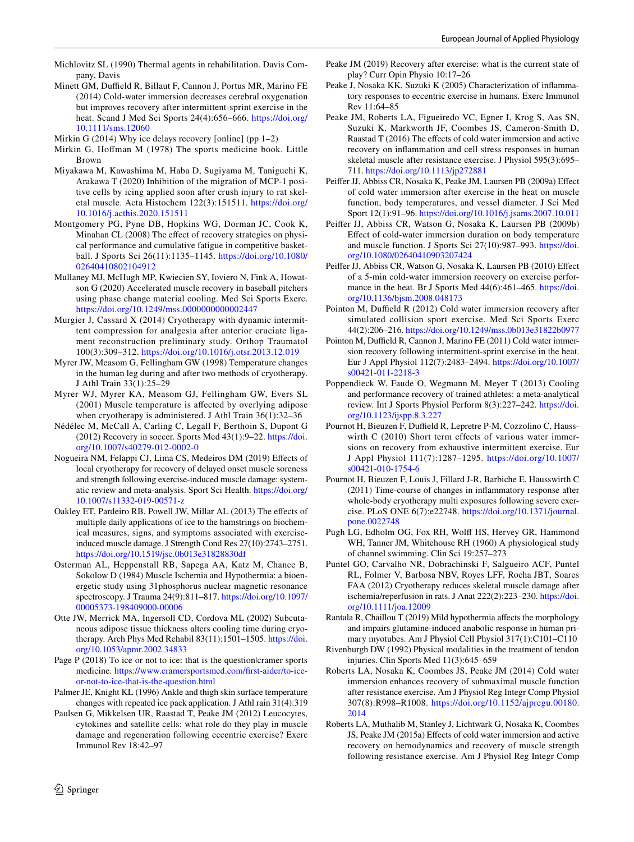<span id="page-15-0"></span>Michlovitz SL (1990) Thermal agents in rehabilitation. Davis Company, Davis

<span id="page-15-31"></span>Minett GM, Duffield R, Billaut F, Cannon J, Portus MR, Marino FE (2014) Cold-water immersion decreases cerebral oxygenation but improves recovery after intermittent-sprint exercise in the heat. Scand J Med Sci Sports 24(4):656–666. [https://doi.org/](https://doi.org/10.1111/sms.12060) [10.1111/sms.12060](https://doi.org/10.1111/sms.12060)

<span id="page-15-7"></span>Mirkin G (2014) Why ice delays recovery [online] (pp 1–2)

- <span id="page-15-33"></span>Mirkin G, Hofman M (1978) The sports medicine book. Little Brown
- <span id="page-15-11"></span>Miyakawa M, Kawashima M, Haba D, Sugiyama M, Taniguchi K, Arakawa T (2020) Inhibition of the migration of MCP-1 positive cells by icing applied soon after crush injury to rat skeletal muscle. Acta Histochem 122(3):151511. [https://doi.org/](https://doi.org/10.1016/j.acthis.2020.151511) [10.1016/j.acthis.2020.151511](https://doi.org/10.1016/j.acthis.2020.151511)
- <span id="page-15-29"></span>Montgomery PG, Pyne DB, Hopkins WG, Dorman JC, Cook K, Minahan CL (2008) The effect of recovery strategies on physical performance and cumulative fatigue in competitive basketball. J Sports Sci 26(11):1135–1145. [https://doi.org/10.1080/](https://doi.org/10.1080/02640410802104912) [02640410802104912](https://doi.org/10.1080/02640410802104912)
- <span id="page-15-32"></span>Mullaney MJ, McHugh MP, Kwiecien SY, Ioviero N, Fink A, Howatson G (2020) Accelerated muscle recovery in baseball pitchers using phase change material cooling. Med Sci Sports Exerc. <https://doi.org/10.1249/mss.0000000000002447>
- <span id="page-15-26"></span>Murgier J, Cassard X (2014) Cryotherapy with dynamic intermittent compression for analgesia after anterior cruciate ligament reconstruction preliminary study. Orthop Traumatol 100(3):309–312. <https://doi.org/10.1016/j.otsr.2013.12.019>
- <span id="page-15-19"></span>Myrer JW, Measom G, Fellingham GW (1998) Temperature changes in the human leg during and after two methods of cryotherapy. J Athl Train 33(1):25–29
- <span id="page-15-20"></span>Myrer WJ, Myrer KA, Measom GJ, Fellingham GW, Evers SL (2001) Muscle temperature is afected by overlying adipose when cryotherapy is administered. J Athl Train 36(1):32-36
- <span id="page-15-5"></span>Nédélec M, McCall A, Carling C, Legall F, Berthoin S, Dupont G (2012) Recovery in soccer. Sports Med 43(1):9–22. [https://doi.](https://doi.org/10.1007/s40279-012-0002-0) [org/10.1007/s40279-012-0002-0](https://doi.org/10.1007/s40279-012-0002-0)
- <span id="page-15-27"></span>Nogueira NM, Felappi CJ, Lima CS, Medeiros DM (2019) Efects of local cryotherapy for recovery of delayed onset muscle soreness and strength following exercise-induced muscle damage: systematic review and meta-analysis. Sport Sci Health. [https://doi.org/](https://doi.org/10.1007/s11332-019-00571-z) [10.1007/s11332-019-00571-z](https://doi.org/10.1007/s11332-019-00571-z)
- <span id="page-15-28"></span>Oakley ET, Pardeiro RB, Powell JW, Millar AL (2013) The efects of multiple daily applications of ice to the hamstrings on biochemical measures, signs, and symptoms associated with exerciseinduced muscle damage. J Strength Cond Res 27(10):2743–2751. <https://doi.org/10.1519/jsc.0b013e31828830df>
- <span id="page-15-9"></span>Osterman AL, Heppenstall RB, Sapega AA, Katz M, Chance B, Sokolow D (1984) Muscle Ischemia and Hypothermia: a bioenergetic study using 31phosphorus nuclear magnetic resonance spectroscopy. J Trauma 24(9):811–817. [https://doi.org/10.1097/](https://doi.org/10.1097/00005373-198409000-00006) [00005373-198409000-00006](https://doi.org/10.1097/00005373-198409000-00006)
- <span id="page-15-25"></span>Otte JW, Merrick MA, Ingersoll CD, Cordova ML (2002) Subcutaneous adipose tissue thickness alters cooling time during cryotherapy. Arch Phys Med Rehabil 83(11):1501–1505. [https://doi.](https://doi.org/10.1053/apmr.2002.34833) [org/10.1053/apmr.2002.34833](https://doi.org/10.1053/apmr.2002.34833)
- <span id="page-15-4"></span>Page P (2018) To ice or not to ice: that is the question|cramer sports medicine. [https://www.cramersportsmed.com/frst-aider/to-ice](https://www.cramersportsmed.com/first-aider/to-ice-or-not-to-ice-that-is-the-question.html)[or-not-to-ice-that-is-the-question.html](https://www.cramersportsmed.com/first-aider/to-ice-or-not-to-ice-that-is-the-question.html)
- <span id="page-15-21"></span>Palmer JE, Knight KL (1996) Ankle and thigh skin surface temperature changes with repeated ice pack application. J Athl rain 31(4):319
- <span id="page-15-2"></span>Paulsen G, Mikkelsen UR, Raastad T, Peake JM (2012) Leucocytes, cytokines and satellite cells: what role do they play in muscle damage and regeneration following eccentric exercise? Exerc Immunol Rev 18:42–97
- <span id="page-15-6"></span>Peake JM (2019) Recovery after exercise: what is the current state of play? Curr Opin Physio 10:17–26
- <span id="page-15-3"></span>Peake J, Nosaka KK, Suzuki K (2005) Characterization of infammatory responses to eccentric exercise in humans. Exerc Immunol Rev 11:64–85
- <span id="page-15-15"></span>Peake JM, Roberts LA, Figueiredo VC, Egner I, Krog S, Aas SN, Suzuki K, Markworth JF, Coombes JS, Cameron-Smith D, Raastad T (2016) The effects of cold water immersion and active recovery on infammation and cell stress responses in human skeletal muscle after resistance exercise. J Physiol 595(3):695– 711. <https://doi.org/10.1113/jp272881>
- <span id="page-15-23"></span>Peifer JJ, Abbiss CR, Nosaka K, Peake JM, Laursen PB (2009a) Efect of cold water immersion after exercise in the heat on muscle function, body temperatures, and vessel diameter. J Sci Med Sport 12(1):91–96.<https://doi.org/10.1016/j.jsams.2007.10.011>
- <span id="page-15-18"></span>Peifer JJ, Abbiss CR, Watson G, Nosaka K, Laursen PB (2009b) Efect of cold-water immersion duration on body temperature and muscle function. J Sports Sci 27(10):987–993. [https://doi.](https://doi.org/10.1080/02640410903207424) [org/10.1080/02640410903207424](https://doi.org/10.1080/02640410903207424)
- <span id="page-15-24"></span>Peifer JJ, Abbiss CR, Watson G, Nosaka K, Laursen PB (2010) Efect of a 5-min cold-water immersion recovery on exercise performance in the heat. Br J Sports Med 44(6):461-465. [https://doi.](https://doi.org/10.1136/bjsm.2008.048173) [org/10.1136/bjsm.2008.048173](https://doi.org/10.1136/bjsm.2008.048173)
- <span id="page-15-14"></span>Pointon M, Duffield R (2012) Cold water immersion recovery after simulated collision sport exercise. Med Sci Sports Exerc 44(2):206–216.<https://doi.org/10.1249/mss.0b013e31822b0977>
- <span id="page-15-13"></span>Pointon M, Duffield R, Cannon J, Marino FE (2011) Cold water immersion recovery following intermittent-sprint exercise in the heat. Eur J Appl Physiol 112(7):2483–2494. [https://doi.org/10.1007/](https://doi.org/10.1007/s00421-011-2218-3) [s00421-011-2218-3](https://doi.org/10.1007/s00421-011-2218-3)
- <span id="page-15-8"></span>Poppendieck W, Faude O, Wegmann M, Meyer T (2013) Cooling and performance recovery of trained athletes: a meta-analytical review. Int J Sports Physiol Perform 8(3):227–242. [https://doi.](https://doi.org/10.1123/ijspp.8.3.227) [org/10.1123/ijspp.8.3.227](https://doi.org/10.1123/ijspp.8.3.227)
- <span id="page-15-30"></span>Pournot H, Bieuzen F, Duffield R, Lepretre P-M, Cozzolino C, Hausswirth C (2010) Short term effects of various water immersions on recovery from exhaustive intermittent exercise. Eur J Appl Physiol 111(7):1287–1295. [https://doi.org/10.1007/](https://doi.org/10.1007/s00421-010-1754-6) [s00421-010-1754-6](https://doi.org/10.1007/s00421-010-1754-6)
- <span id="page-15-12"></span>Pournot H, Bieuzen F, Louis J, Fillard J-R, Barbiche E, Hausswirth C (2011) Time-course of changes in infammatory response after whole-body cryotherapy multi exposures following severe exercise. PLoS ONE 6(7):e22748. [https://doi.org/10.1371/journal.](https://doi.org/10.1371/journal.pone.0022748) [pone.0022748](https://doi.org/10.1371/journal.pone.0022748)
- <span id="page-15-22"></span>Pugh LG, Edholm OG, Fox RH, Wolf HS, Hervey GR, Hammond WH, Tanner JM, Whitehouse RH (1960) A physiological study of channel swimming. Clin Sci 19:257–273
- <span id="page-15-10"></span>Puntel GO, Carvalho NR, Dobrachinski F, Salgueiro ACF, Puntel RL, Folmer V, Barbosa NBV, Royes LFF, Rocha JBT, Soares FAA (2012) Cryotherapy reduces skeletal muscle damage after ischemia/reperfusion in rats. J Anat 222(2):223–230. [https://doi.](https://doi.org/10.1111/joa.12009) [org/10.1111/joa.12009](https://doi.org/10.1111/joa.12009)
- <span id="page-15-34"></span>Rantala R, Chaillou T (2019) Mild hypothermia afects the morphology and impairs glutamine-induced anabolic response in human primary myotubes. Am J Physiol Cell Physiol 317(1):C101–C110
- <span id="page-15-1"></span>Rivenburgh DW (1992) Physical modalities in the treatment of tendon injuries. Clin Sports Med 11(3):645–659
- <span id="page-15-16"></span>Roberts LA, Nosaka K, Coombes JS, Peake JM (2014) Cold water immersion enhances recovery of submaximal muscle function after resistance exercise. Am J Physiol Reg Integr Comp Physiol 307(8):R998–R1008. [https://doi.org/10.1152/ajpregu.00180.](https://doi.org/10.1152/ajpregu.00180.2014) [2014](https://doi.org/10.1152/ajpregu.00180.2014)
- <span id="page-15-17"></span>Roberts LA, Muthalib M, Stanley J, Lichtwark G, Nosaka K, Coombes JS, Peake JM (2015a) Efects of cold water immersion and active recovery on hemodynamics and recovery of muscle strength following resistance exercise. Am J Physiol Reg Integr Comp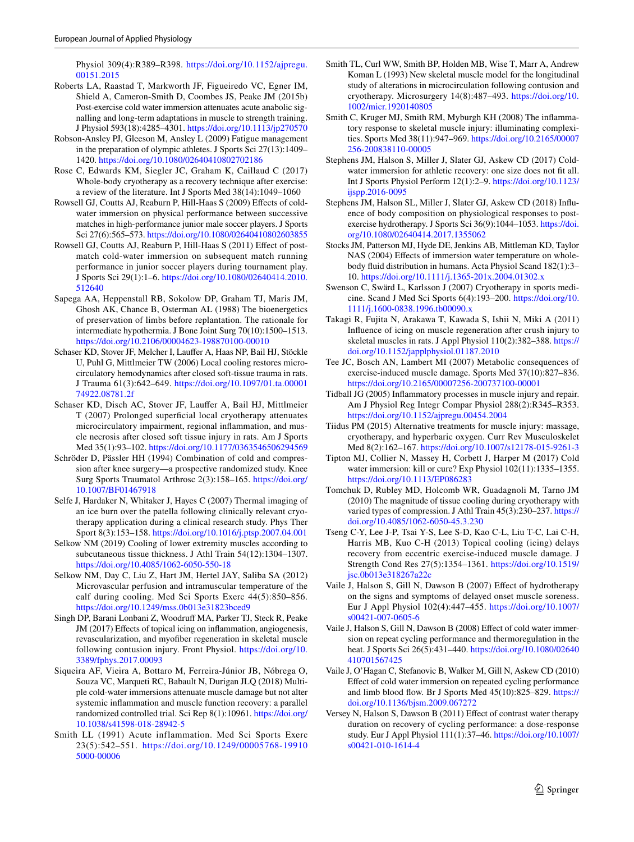Physiol 309(4):R389–R398. [https://doi.org/10.1152/ajpregu.](https://doi.org/10.1152/ajpregu.00151.2015) [00151.2015](https://doi.org/10.1152/ajpregu.00151.2015)

- <span id="page-16-5"></span>Roberts LA, Raastad T, Markworth JF, Figueiredo VC, Egner IM, Shield A, Cameron-Smith D, Coombes JS, Peake JM (2015b) Post-exercise cold water immersion attenuates acute anabolic signalling and long-term adaptations in muscle to strength training. J Physiol 593(18):4285–4301.<https://doi.org/10.1113/jp270570>
- <span id="page-16-1"></span>Robson-Ansley PJ, Gleeson M, Ansley L (2009) Fatigue management in the preparation of olympic athletes. J Sports Sci 27(13):1409– 1420. <https://doi.org/10.1080/02640410802702186>
- <span id="page-16-22"></span>Rose C, Edwards KM, Siegler JC, Graham K, Caillaud C (2017) Whole-body cryotherapy as a recovery technique after exercise: a review of the literature. Int J Sports Med 38(14):1049–1060
- <span id="page-16-25"></span>Rowsell GJ, Coutts AJ, Reaburn P, Hill-Haas S (2009) Effects of coldwater immersion on physical performance between successive matches in high-performance junior male soccer players. J Sports Sci 27(6):565–573.<https://doi.org/10.1080/02640410802603855>
- <span id="page-16-26"></span>Rowsell GJ, Coutts AJ, Reaburn P, Hill-Haas S (2011) Effect of postmatch cold-water immersion on subsequent match running performance in junior soccer players during tournament play. J Sports Sci 29(1):1–6. [https://doi.org/10.1080/02640414.2010.](https://doi.org/10.1080/02640414.2010.512640) [512640](https://doi.org/10.1080/02640414.2010.512640)
- <span id="page-16-7"></span>Sapega AA, Heppenstall RB, Sokolow DP, Graham TJ, Maris JM, Ghosh AK, Chance B, Osterman AL (1988) The bioenergetics of preservation of limbs before replantation. The rationale for intermediate hypothermia. J Bone Joint Surg 70(10):1500–1513. <https://doi.org/10.2106/00004623-198870100-00010>
- <span id="page-16-6"></span>Schaser KD, Stover JF, Melcher I, Laufer A, Haas NP, Bail HJ, Stöckle U, Puhl G, Mittlmeier TW (2006) Local cooling restores microcirculatory hemodynamics after closed soft-tissue trauma in rats. J Trauma 61(3):642–649. [https://doi.org/10.1097/01.ta.00001](https://doi.org/10.1097/01.ta.0000174922.08781.2f) [74922.08781.2f](https://doi.org/10.1097/01.ta.0000174922.08781.2f)
- <span id="page-16-9"></span>Schaser KD, Disch AC, Stover JF, Laufer A, Bail HJ, Mittlmeier T (2007) Prolonged superfcial local cryotherapy attenuates microcirculatory impairment, regional infammation, and muscle necrosis after closed soft tissue injury in rats. Am J Sports Med 35(1):93–102.<https://doi.org/10.1177/0363546506294569>
- <span id="page-16-21"></span>Schröder D, Pässler HH (1994) Combination of cold and compression after knee surgery—a prospective randomized study. Knee Surg Sports Traumatol Arthrosc 2(3):158–165. [https://doi.org/](https://doi.org/10.1007/BF01467918) [10.1007/BF01467918](https://doi.org/10.1007/BF01467918)
- <span id="page-16-20"></span>Selfe J, Hardaker N, Whitaker J, Hayes C (2007) Thermal imaging of an ice burn over the patella following clinically relevant cryotherapy application during a clinical research study. Phys Ther Sport 8(3):153–158.<https://doi.org/10.1016/j.ptsp.2007.04.001>
- <span id="page-16-19"></span>Selkow NM (2019) Cooling of lower extremity muscles according to subcutaneous tissue thickness. J Athl Train 54(12):1304–1307. <https://doi.org/10.4085/1062-6050-550-18>
- <span id="page-16-17"></span>Selkow NM, Day C, Liu Z, Hart JM, Hertel JAY, Saliba SA (2012) Microvascular perfusion and intramuscular temperature of the calf during cooling. Med Sci Sports Exerc 44(5):850–856. <https://doi.org/10.1249/mss.0b013e31823bced9>
- <span id="page-16-10"></span>Singh DP, Barani Lonbani Z, Woodruf MA, Parker TJ, Steck R, Peake JM (2017) Effects of topical icing on inflammation, angiogenesis, revascularization, and myofber regeneration in skeletal muscle following contusion injury. Front Physiol. [https://doi.org/10.](https://doi.org/10.3389/fphys.2017.00093) [3389/fphys.2017.00093](https://doi.org/10.3389/fphys.2017.00093)
- <span id="page-16-27"></span>Siqueira AF, Vieira A, Bottaro M, Ferreira-Júnior JB, Nóbrega O, Souza VC, Marqueti RC, Babault N, Durigan JLQ (2018) Multiple cold-water immersions attenuate muscle damage but not alter systemic infammation and muscle function recovery: a parallel randomized controlled trial. Sci Rep 8(1):10961. [https://doi.org/](https://doi.org/10.1038/s41598-018-28942-5) [10.1038/s41598-018-28942-5](https://doi.org/10.1038/s41598-018-28942-5)
- <span id="page-16-30"></span>Smith LL (1991) Acute inflammation. Med Sci Sports Exerc 23(5):542–551. [https://doi.org/10.1249/00005768-19910](https://doi.org/10.1249/00005768-199105000-00006) [5000-00006](https://doi.org/10.1249/00005768-199105000-00006)
- <span id="page-16-8"></span>Smith TL, Curl WW, Smith BP, Holden MB, Wise T, Marr A, Andrew Koman L (1993) New skeletal muscle model for the longitudinal study of alterations in microcirculation following contusion and cryotherapy. Microsurgery 14(8):487–493. [https://doi.org/10.](https://doi.org/10.1002/micr.1920140805) [1002/micr.1920140805](https://doi.org/10.1002/micr.1920140805)
- <span id="page-16-31"></span>Smith C, Kruger MJ, Smith RM, Myburgh KH (2008) The infammatory response to skeletal muscle injury: illuminating complexities. Sports Med 38(11):947–969. [https://doi.org/10.2165/00007](https://doi.org/10.2165/00007256-200838110-00005) [256-200838110-00005](https://doi.org/10.2165/00007256-200838110-00005)
- <span id="page-16-18"></span>Stephens JM, Halson S, Miller J, Slater GJ, Askew CD (2017) Coldwater immersion for athletic recovery: one size does not ft all. Int J Sports Physiol Perform 12(1):2–9. [https://doi.org/10.1123/](https://doi.org/10.1123/ijspp.2016-0095) [ijspp.2016-0095](https://doi.org/10.1123/ijspp.2016-0095)
- <span id="page-16-13"></span>Stephens JM, Halson SL, Miller J, Slater GJ, Askew CD (2018) Infuence of body composition on physiological responses to postexercise hydrotherapy. J Sports Sci 36(9):1044–1053. [https://doi.](https://doi.org/10.1080/02640414.2017.1355062) [org/10.1080/02640414.2017.1355062](https://doi.org/10.1080/02640414.2017.1355062)
- <span id="page-16-16"></span>Stocks JM, Patterson MJ, Hyde DE, Jenkins AB, Mittleman KD, Taylor NAS (2004) Effects of immersion water temperature on wholebody fuid distribution in humans. Acta Physiol Scand 182(1):3– 10.<https://doi.org/10.1111/j.1365-201x.2004.01302.x>
- <span id="page-16-14"></span>Swenson C, Swärd L, Karlsson J (2007) Cryotherapy in sports medicine. Scand J Med Sci Sports 6(4):193–200. [https://doi.org/10.](https://doi.org/10.1111/j.1600-0838.1996.tb00090.x) [1111/j.1600-0838.1996.tb00090.x](https://doi.org/10.1111/j.1600-0838.1996.tb00090.x)
- <span id="page-16-3"></span>Takagi R, Fujita N, Arakawa T, Kawada S, Ishii N, Miki A (2011) Infuence of icing on muscle regeneration after crush injury to skeletal muscles in rats. J Appl Physiol 110(2):382–388. [https://](https://doi.org/10.1152/japplphysiol.01187.2010) [doi.org/10.1152/japplphysiol.01187.2010](https://doi.org/10.1152/japplphysiol.01187.2010)
- <span id="page-16-4"></span>Tee JC, Bosch AN, Lambert MI (2007) Metabolic consequences of exercise-induced muscle damage. Sports Med 37(10):827–836. <https://doi.org/10.2165/00007256-200737100-00001>
- <span id="page-16-29"></span>Tidball JG (2005) Infammatory processes in muscle injury and repair. Am J Physiol Reg Integr Compar Physiol 288(2):R345–R353. <https://doi.org/10.1152/ajpregu.00454.2004>
- <span id="page-16-0"></span>Tiidus PM (2015) Alternative treatments for muscle injury: massage, cryotherapy, and hyperbaric oxygen. Curr Rev Musculoskelet Med 8(2):162–167.<https://doi.org/10.1007/s12178-015-9261-3>
- <span id="page-16-15"></span>Tipton MJ, Collier N, Massey H, Corbett J, Harper M (2017) Cold water immersion: kill or cure? Exp Physiol 102(11):1335–1355. <https://doi.org/10.1113/EP086283>
- <span id="page-16-2"></span>Tomchuk D, Rubley MD, Holcomb WR, Guadagnoli M, Tarno JM (2010) The magnitude of tissue cooling during cryotherapy with varied types of compression. J Athl Train 45(3):230–237. [https://](https://doi.org/10.4085/1062-6050-45.3.230) [doi.org/10.4085/1062-6050-45.3.230](https://doi.org/10.4085/1062-6050-45.3.230)
- <span id="page-16-11"></span>Tseng C-Y, Lee J-P, Tsai Y-S, Lee S-D, Kao C-L, Liu T-C, Lai C-H, Harris MB, Kuo C-H (2013) Topical cooling (icing) delays recovery from eccentric exercise-induced muscle damage. J Strength Cond Res 27(5):1354–1361. [https://doi.org/10.1519/](https://doi.org/10.1519/jsc.0b013e318267a22c) [jsc.0b013e318267a22c](https://doi.org/10.1519/jsc.0b013e318267a22c)
- <span id="page-16-23"></span>Vaile J, Halson S, Gill N, Dawson B (2007) Efect of hydrotherapy on the signs and symptoms of delayed onset muscle soreness. Eur J Appl Physiol 102(4):447–455. [https://doi.org/10.1007/](https://doi.org/10.1007/s00421-007-0605-6) [s00421-007-0605-6](https://doi.org/10.1007/s00421-007-0605-6)
- <span id="page-16-24"></span>Vaile J, Halson S, Gill N, Dawson B (2008) Efect of cold water immersion on repeat cycling performance and thermoregulation in the heat. J Sports Sci 26(5):431–440. [https://doi.org/10.1080/02640](https://doi.org/10.1080/02640410701567425) [410701567425](https://doi.org/10.1080/02640410701567425)
- <span id="page-16-12"></span>Vaile J, O'Hagan C, Stefanovic B, Walker M, Gill N, Askew CD (2010) Efect of cold water immersion on repeated cycling performance and limb blood fow. Br J Sports Med 45(10):825–829. [https://](https://doi.org/10.1136/bjsm.2009.067272) [doi.org/10.1136/bjsm.2009.067272](https://doi.org/10.1136/bjsm.2009.067272)
- <span id="page-16-28"></span>Versey N, Halson S, Dawson B (2011) Efect of contrast water therapy duration on recovery of cycling performance: a dose-response study. Eur J Appl Physiol 111(1):37–46. [https://doi.org/10.1007/](https://doi.org/10.1007/s00421-010-1614-4) [s00421-010-1614-4](https://doi.org/10.1007/s00421-010-1614-4)